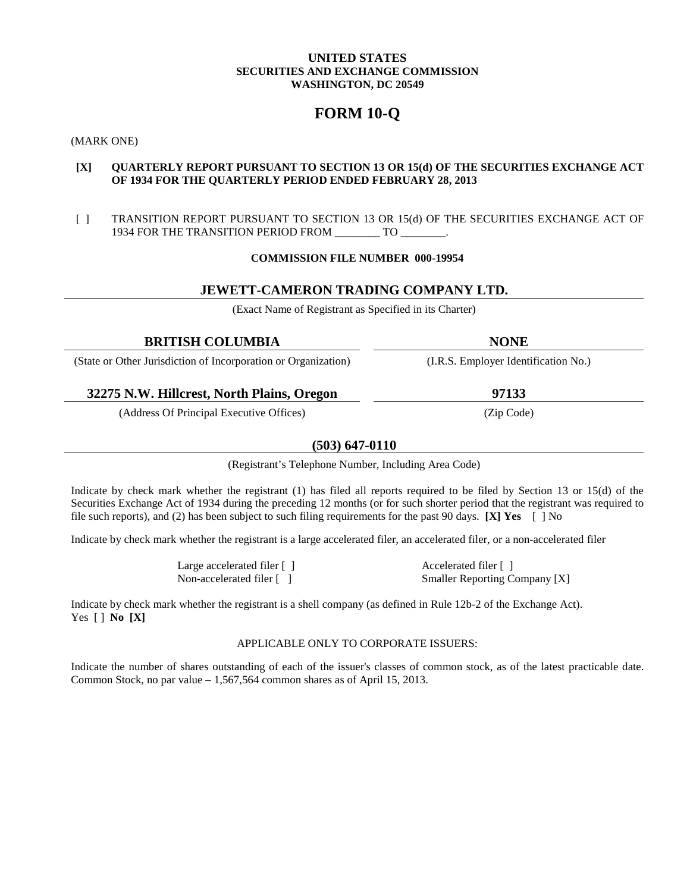# **UNITED STATES SECURITIES AND EXCHANGE COMMISSION WASHINGTON, DC 20549**

# **FORM 10-Q**

(MARK ONE)

# **[X] QUARTERLY REPORT PURSUANT TO SECTION 13 OR 15(d) OF THE SECURITIES EXCHANGE ACT OF 1934 FOR THE QUARTERLY PERIOD ENDED FEBRUARY 28, 2013**

[ ] TRANSITION REPORT PURSUANT TO SECTION 13 OR 15(d) OF THE SECURITIES EXCHANGE ACT OF 1934 FOR THE TRANSITION PERIOD FROM \_\_\_\_\_\_\_\_ TO \_\_\_\_\_\_\_\_.

# **COMMISSION FILE NUMBER 000-19954**

# **JEWETT-CAMERON TRADING COMPANY LTD.**

(Exact Name of Registrant as Specified in its Charter)

| <b>BRITISH COLUMBIA</b>                                        | <b>NONE</b>                          |
|----------------------------------------------------------------|--------------------------------------|
| (State or Other Jurisdiction of Incorporation or Organization) | (I.R.S. Employer Identification No.) |
| 32275 N.W. Hillcrest, North Plains, Oregon                     | 97133                                |
| (Address Of Principal Executive Offices)                       | (Zip Code)                           |

# **(503) 647-0110**

(Registrant's Telephone Number, Including Area Code)

Indicate by check mark whether the registrant (1) has filed all reports required to be filed by Section 13 or 15(d) of the Securities Exchange Act of 1934 during the preceding 12 months (or for such shorter period that the registrant was required to file such reports), and (2) has been subject to such filing requirements for the past 90 days. **[X] Yes** [ ] No

Indicate by check mark whether the registrant is a large accelerated filer, an accelerated filer, or a non-accelerated filer

Large accelerated filer  $\lceil \cdot \rceil$  Accelerated filer  $\lceil \cdot \rceil$ 

Non-accelerated filer [ ] Smaller Reporting Company [X]

Indicate by check mark whether the registrant is a shell company (as defined in Rule 12b-2 of the Exchange Act). Yes [ ] **No [X]**

# APPLICABLE ONLY TO CORPORATE ISSUERS:

Indicate the number of shares outstanding of each of the issuer's classes of common stock, as of the latest practicable date. Common Stock, no par value – 1,567,564 common shares as of April 15, 2013.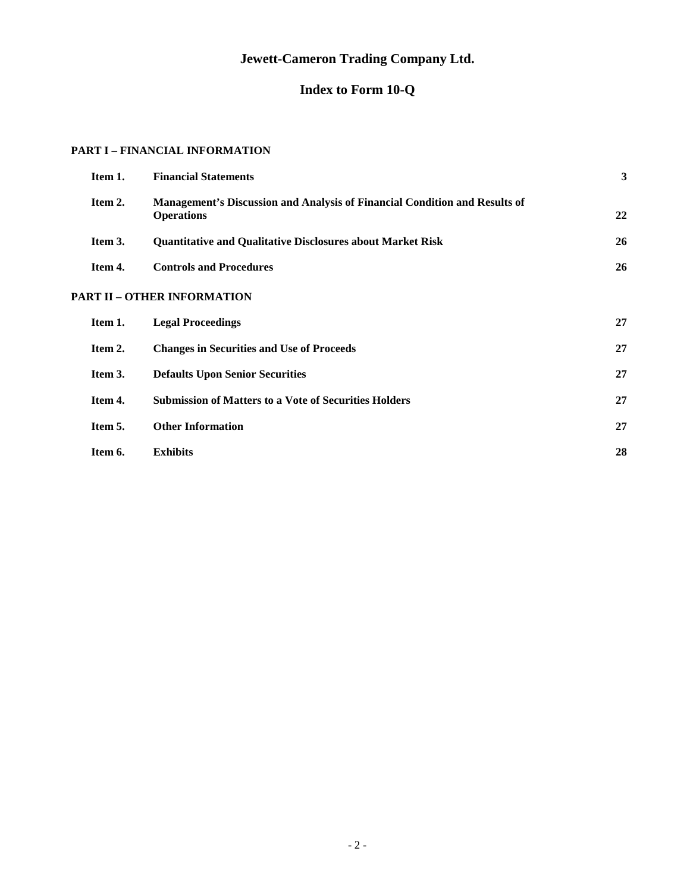# **Jewett-Cameron Trading Company Ltd.**

# **Index to Form 10-Q**

# **PART I – FINANCIAL INFORMATION**

| Item 1. | <b>Financial Statements</b>                                                                            | 3  |
|---------|--------------------------------------------------------------------------------------------------------|----|
| Item 2. | <b>Management's Discussion and Analysis of Financial Condition and Results of</b><br><b>Operations</b> | 22 |
| Item 3. | <b>Quantitative and Qualitative Disclosures about Market Risk</b>                                      | 26 |
| Item 4. | <b>Controls and Procedures</b>                                                                         | 26 |
|         | <b>PART II – OTHER INFORMATION</b>                                                                     |    |
| Item 1. | <b>Legal Proceedings</b>                                                                               | 27 |
| Item 2. | <b>Changes in Securities and Use of Proceeds</b>                                                       | 27 |
| Item 3. | <b>Defaults Upon Senior Securities</b>                                                                 | 27 |
| Item 4. | <b>Submission of Matters to a Vote of Securities Holders</b>                                           | 27 |
| Item 5. | <b>Other Information</b>                                                                               | 27 |
| Item 6. | <b>Exhibits</b>                                                                                        | 28 |
|         |                                                                                                        |    |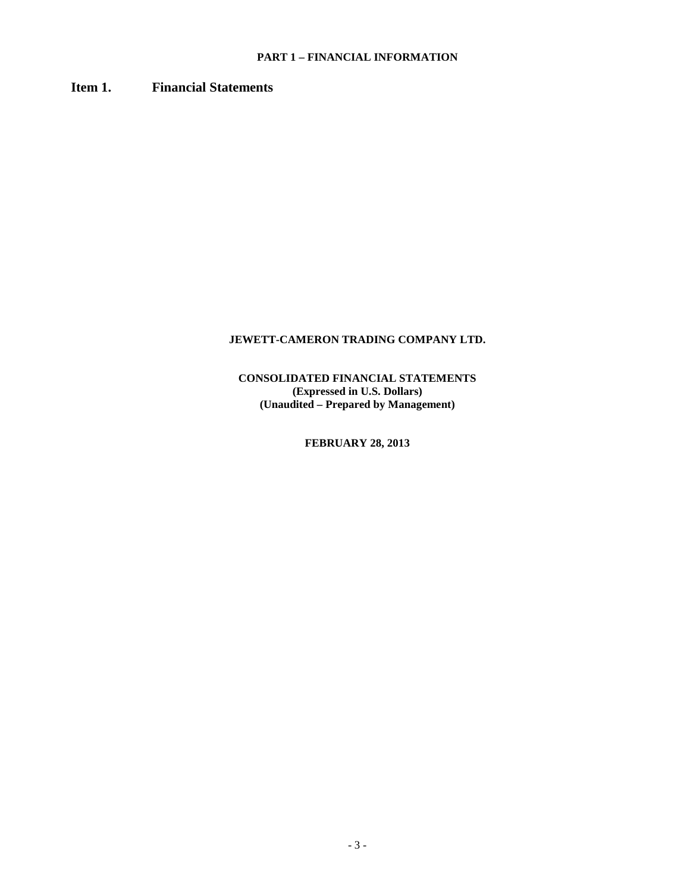# **PART 1 – FINANCIAL INFORMATION**

# **Item 1. Financial Statements**

# **JEWETT-CAMERON TRADING COMPANY LTD.**

**CONSOLIDATED FINANCIAL STATEMENTS (Expressed in U.S. Dollars) (Unaudited – Prepared by Management)**

**FEBRUARY 28, 2013**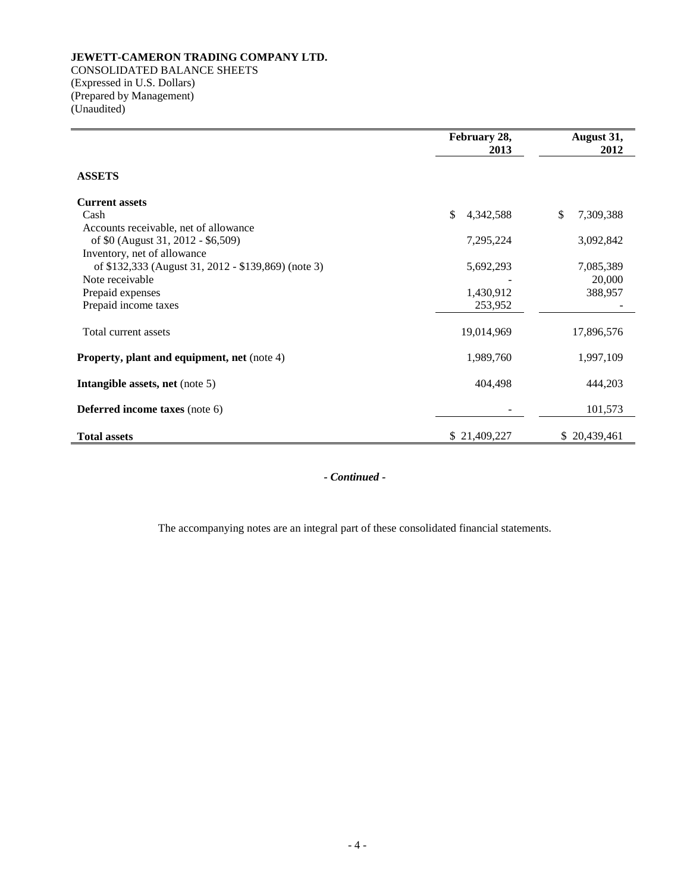CONSOLIDATED BALANCE SHEETS (Expressed in U.S. Dollars) (Prepared by Management) (Unaudited)

|                                                     | February 28,<br>2013 | August 31,<br>2012 |  |  |
|-----------------------------------------------------|----------------------|--------------------|--|--|
| <b>ASSETS</b>                                       |                      |                    |  |  |
| <b>Current assets</b>                               |                      |                    |  |  |
| Cash                                                | \$<br>4,342,588      | \$<br>7,309,388    |  |  |
| Accounts receivable, net of allowance               |                      |                    |  |  |
| of \$0 (August 31, 2012 - \$6,509)                  | 7,295,224            | 3,092,842          |  |  |
| Inventory, net of allowance                         |                      |                    |  |  |
| of \$132,333 (August 31, 2012 - \$139,869) (note 3) | 5,692,293            | 7,085,389          |  |  |
| Note receivable                                     |                      | 20,000             |  |  |
| Prepaid expenses                                    | 1,430,912            | 388,957            |  |  |
| Prepaid income taxes                                | 253,952              |                    |  |  |
| Total current assets                                | 19,014,969           | 17,896,576         |  |  |
| <b>Property, plant and equipment, net</b> (note 4)  | 1,989,760            | 1,997,109          |  |  |
| Intangible assets, net (note 5)                     | 404,498              | 444,203            |  |  |
| <b>Deferred income taxes</b> (note 6)               |                      | 101,573            |  |  |
| <b>Total assets</b>                                 | \$21,409,227         | \$20,439,461       |  |  |

*- Continued -*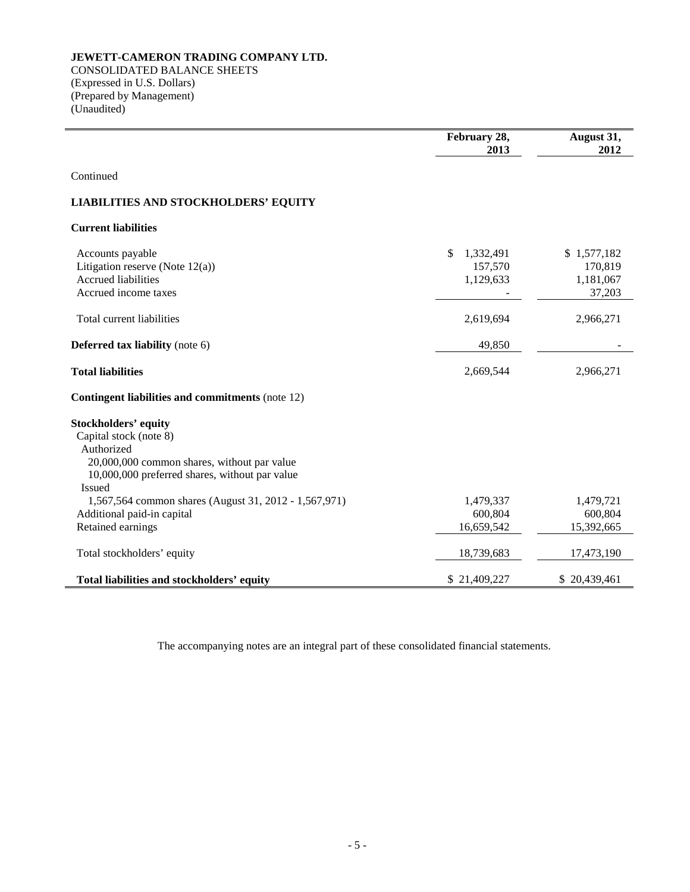CONSOLIDATED BALANCE SHEETS (Expressed in U.S. Dollars) (Prepared by Management) (Unaudited)

l,

|                                                          | February 28,<br>2013 | August 31,<br>2012 |
|----------------------------------------------------------|----------------------|--------------------|
|                                                          |                      |                    |
| Continued                                                |                      |                    |
| <b>LIABILITIES AND STOCKHOLDERS' EQUITY</b>              |                      |                    |
| <b>Current liabilities</b>                               |                      |                    |
| Accounts payable                                         | \$<br>1,332,491      | \$1,577,182        |
| Litigation reserve (Note $12(a)$ )                       | 157,570              | 170,819            |
| <b>Accrued liabilities</b>                               | 1,129,633            | 1,181,067          |
| Accrued income taxes                                     |                      | 37,203             |
| Total current liabilities                                | 2,619,694            | 2,966,271          |
| <b>Deferred tax liability</b> (note 6)                   | 49,850               |                    |
| <b>Total liabilities</b>                                 | 2,669,544            | 2,966,271          |
| <b>Contingent liabilities and commitments (note 12)</b>  |                      |                    |
| <b>Stockholders' equity</b>                              |                      |                    |
| Capital stock (note 8)                                   |                      |                    |
| Authorized                                               |                      |                    |
| 20,000,000 common shares, without par value              |                      |                    |
| 10,000,000 preferred shares, without par value<br>Issued |                      |                    |
| 1,567,564 common shares (August 31, 2012 - 1,567,971)    | 1,479,337            | 1,479,721          |
| Additional paid-in capital                               | 600,804              | 600,804            |
| Retained earnings                                        | 16,659,542           | 15,392,665         |
| Total stockholders' equity                               | 18,739,683           | 17,473,190         |
| Total liabilities and stockholders' equity               | \$21,409,227         | \$20,439,461       |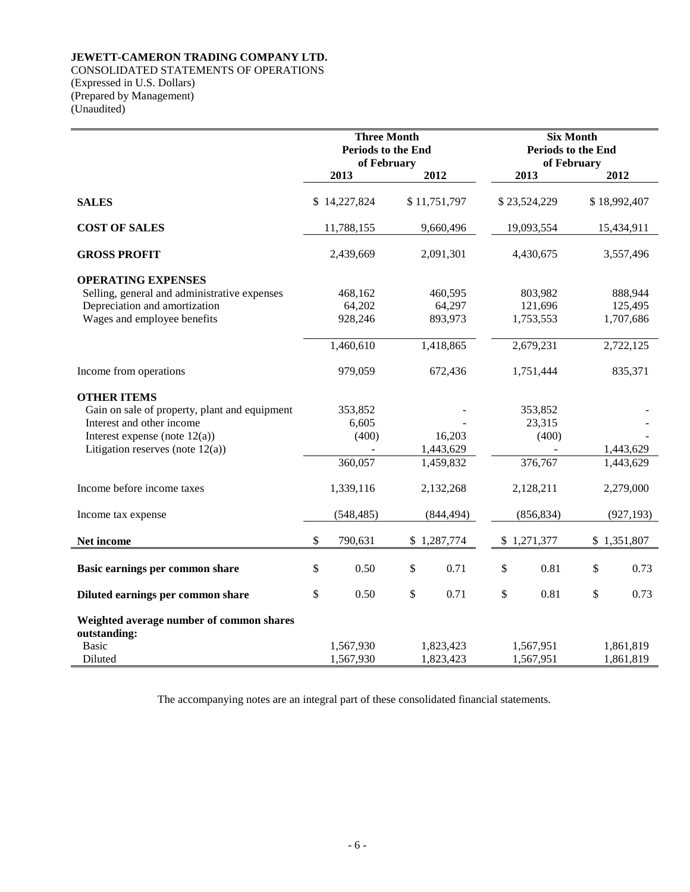# CONSOLIDATED STATEMENTS OF OPERATIONS (Expressed in U.S. Dollars)

(Prepared by Management) (Unaudited)

|                                                                                                                                                                             | <b>Three Month</b><br><b>Periods to the End</b><br>of February |                                      |    |                                  | <b>Periods to the End</b> |                                       |    |                                 |
|-----------------------------------------------------------------------------------------------------------------------------------------------------------------------------|----------------------------------------------------------------|--------------------------------------|----|----------------------------------|---------------------------|---------------------------------------|----|---------------------------------|
|                                                                                                                                                                             |                                                                | 2013                                 |    | 2012                             |                           | of February<br>2013                   |    | 2012                            |
| <b>SALES</b>                                                                                                                                                                |                                                                | \$14,227,824                         |    | \$11,751,797                     |                           | \$23,524,229                          |    | \$18,992,407                    |
| <b>COST OF SALES</b>                                                                                                                                                        |                                                                | 11,788,155                           |    | 9,660,496                        |                           | 19,093,554                            |    | 15,434,911                      |
| <b>GROSS PROFIT</b>                                                                                                                                                         |                                                                | 2,439,669                            |    | 2,091,301                        | 4,430,675                 |                                       |    | 3,557,496                       |
| <b>OPERATING EXPENSES</b><br>Selling, general and administrative expenses<br>Depreciation and amortization<br>Wages and employee benefits                                   |                                                                | 468,162<br>64,202<br>928,246         |    | 460,595<br>64,297<br>893,973     |                           | 803,982<br>121,696<br>1,753,553       |    | 888,944<br>125,495<br>1,707,686 |
|                                                                                                                                                                             |                                                                | 1,460,610                            |    | 1,418,865                        |                           | 2,679,231                             |    | 2,722,125                       |
| Income from operations                                                                                                                                                      |                                                                | 979,059                              |    | 672,436                          |                           | 1,751,444                             |    | 835,371                         |
| <b>OTHER ITEMS</b><br>Gain on sale of property, plant and equipment<br>Interest and other income<br>Interest expense (note $12(a)$ )<br>Litigation reserves (note $12(a)$ ) |                                                                | 353,852<br>6,605<br>(400)<br>360,057 |    | 16,203<br>1,443,629<br>1,459,832 |                           | 353,852<br>23,315<br>(400)<br>376,767 |    | 1,443,629<br>1,443,629          |
| Income before income taxes                                                                                                                                                  |                                                                | 1,339,116                            |    | 2,132,268                        | 2,128,211                 |                                       |    | 2,279,000                       |
| Income tax expense                                                                                                                                                          |                                                                | (548, 485)                           |    | (844, 494)                       | (856, 834)                |                                       |    | (927, 193)                      |
| Net income                                                                                                                                                                  | \$                                                             | 790,631                              |    | \$1,287,774                      |                           | \$1,271,377                           |    | \$1,351,807                     |
| Basic earnings per common share                                                                                                                                             | \$                                                             | 0.50                                 | \$ | 0.71                             | \$                        | 0.81                                  | \$ | 0.73                            |
| Diluted earnings per common share                                                                                                                                           | \$                                                             | 0.50                                 | \$ | 0.71                             | \$                        | 0.81                                  | \$ | 0.73                            |
| Weighted average number of common shares<br>outstanding:<br><b>Basic</b><br>Diluted                                                                                         |                                                                | 1,567,930<br>1,567,930               |    | 1,823,423<br>1,823,423           |                           | 1,567,951<br>1,567,951                |    | 1,861,819<br>1,861,819          |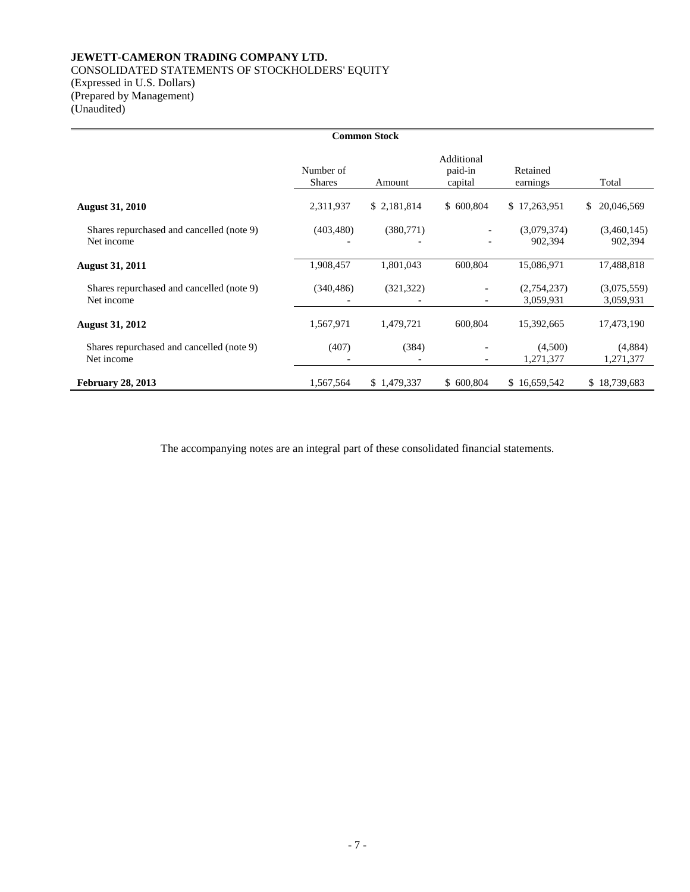# CONSOLIDATED STATEMENTS OF STOCKHOLDERS' EQUITY

(Expressed in U.S. Dollars) (Prepared by Management) (Unaudited)

| <b>Common Stock</b>                                     |                            |             |                                  |                          |                          |  |  |
|---------------------------------------------------------|----------------------------|-------------|----------------------------------|--------------------------|--------------------------|--|--|
|                                                         | Number of<br><b>Shares</b> | Amount      | Additional<br>paid-in<br>capital | Retained<br>earnings     | Total                    |  |  |
| <b>August 31, 2010</b>                                  | 2,311,937                  | \$2,181,814 | \$600,804                        | \$17,263,951             | 20,046,569<br>S.         |  |  |
| Shares repurchased and cancelled (note 9)<br>Net income | (403, 480)                 | (380,771)   |                                  | (3,079,374)<br>902,394   | (3,460,145)<br>902,394   |  |  |
| <b>August 31, 2011</b>                                  | 1,908,457                  | 1,801,043   | 600,804                          | 15,086,971               | 17,488,818               |  |  |
| Shares repurchased and cancelled (note 9)<br>Net income | (340, 486)                 | (321, 322)  | $\overline{\phantom{a}}$         | (2,754,237)<br>3,059,931 | (3,075,559)<br>3,059,931 |  |  |
| <b>August 31, 2012</b>                                  | 1,567,971                  | 1,479,721   | 600,804                          | 15,392,665               | 17,473,190               |  |  |
| Shares repurchased and cancelled (note 9)<br>Net income | (407)                      | (384)       | $\qquad \qquad \blacksquare$     | (4,500)<br>1,271,377     | (4,884)<br>1,271,377     |  |  |
| <b>February 28, 2013</b>                                | 1,567,564                  | \$1,479,337 | \$600,804                        | \$16,659,542             | \$18,739,683             |  |  |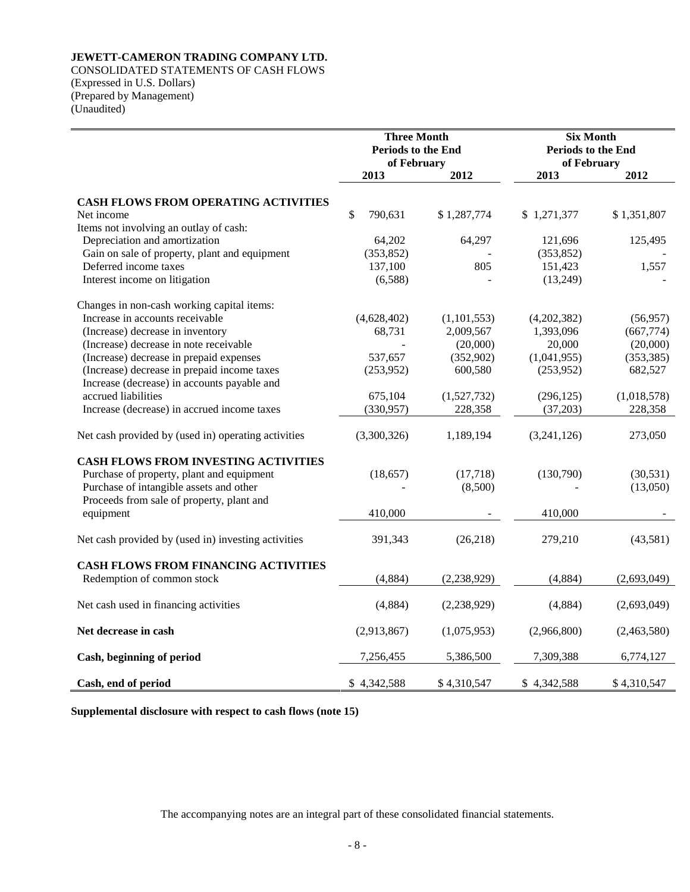CONSOLIDATED STATEMENTS OF CASH FLOWS (Expressed in U.S. Dollars) (Prepared by Management) (Unaudited)

|                                                     | <b>Three Month</b><br>Periods to the End<br>of February |               | <b>Six Month</b><br>Periods to the End<br>of February |             |
|-----------------------------------------------------|---------------------------------------------------------|---------------|-------------------------------------------------------|-------------|
|                                                     | 2013                                                    | 2012          | 2013                                                  | 2012        |
| CASH FLOWS FROM OPERATING ACTIVITIES                |                                                         |               |                                                       |             |
| Net income                                          | \$<br>790,631                                           | \$1,287,774   | \$1,271,377                                           | \$1,351,807 |
| Items not involving an outlay of cash:              |                                                         |               |                                                       |             |
| Depreciation and amortization                       | 64,202                                                  | 64,297        | 121,696                                               | 125,495     |
| Gain on sale of property, plant and equipment       | (353, 852)                                              |               | (353, 852)                                            |             |
| Deferred income taxes                               | 137,100                                                 | 805           | 151,423                                               | 1,557       |
| Interest income on litigation                       | (6,588)                                                 |               | (13,249)                                              |             |
| Changes in non-cash working capital items:          |                                                         |               |                                                       |             |
| Increase in accounts receivable                     | (4,628,402)                                             | (1, 101, 553) | (4,202,382)                                           | (56, 957)   |
| (Increase) decrease in inventory                    | 68,731                                                  | 2,009,567     | 1,393,096                                             | (667,774)   |
| (Increase) decrease in note receivable              |                                                         | (20,000)      | 20,000                                                | (20,000)    |
| (Increase) decrease in prepaid expenses             | 537,657                                                 | (352,902)     | (1,041,955)                                           | (353, 385)  |
| (Increase) decrease in prepaid income taxes         | (253,952)                                               | 600,580       | (253,952)                                             | 682,527     |
| Increase (decrease) in accounts payable and         |                                                         |               |                                                       |             |
| accrued liabilities                                 | 675,104                                                 | (1,527,732)   | (296, 125)                                            | (1,018,578) |
| Increase (decrease) in accrued income taxes         | (330, 957)                                              | 228,358       | (37,203)                                              | 228,358     |
|                                                     |                                                         |               |                                                       |             |
| Net cash provided by (used in) operating activities | (3,300,326)                                             | 1,189,194     | (3,241,126)                                           | 273,050     |
| <b>CASH FLOWS FROM INVESTING ACTIVITIES</b>         |                                                         |               |                                                       |             |
| Purchase of property, plant and equipment           | (18, 657)                                               | (17,718)      | (130,790)                                             | (30, 531)   |
| Purchase of intangible assets and other             |                                                         | (8,500)       |                                                       | (13,050)    |
| Proceeds from sale of property, plant and           |                                                         |               |                                                       |             |
| equipment                                           | 410,000                                                 |               | 410,000                                               |             |
| Net cash provided by (used in) investing activities | 391,343                                                 | (26, 218)     | 279,210                                               | (43,581)    |
| <b>CASH FLOWS FROM FINANCING ACTIVITIES</b>         |                                                         |               |                                                       |             |
| Redemption of common stock                          | (4,884)                                                 | (2,238,929)   | (4,884)                                               | (2,693,049) |
| Net cash used in financing activities               | (4,884)                                                 | (2,238,929)   | (4,884)                                               | (2,693,049) |
|                                                     |                                                         |               |                                                       |             |
| Net decrease in cash                                | (2,913,867)                                             | (1,075,953)   | (2,966,800)                                           | (2,463,580) |
| Cash, beginning of period                           | 7,256,455                                               | 5,386,500     | 7,309,388                                             | 6,774,127   |
| Cash, end of period                                 | \$4,342,588                                             | \$4,310,547   | \$4,342,588                                           | \$4,310,547 |

**Supplemental disclosure with respect to cash flows (note 15)**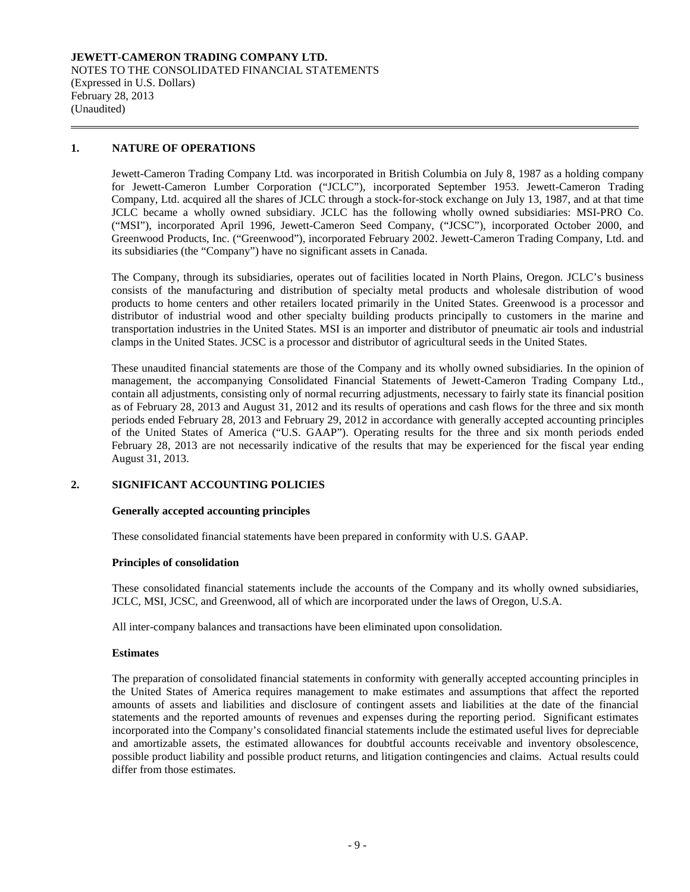### **JEWETT-CAMERON TRADING COMPANY LTD.** NOTES TO THE CONSOLIDATED FINANCIAL STATEMENTS (Expressed in U.S. Dollars) February 28, 2013 (Unaudited)

# **1. NATURE OF OPERATIONS**

Jewett-Cameron Trading Company Ltd. was incorporated in British Columbia on July 8, 1987 as a holding company for Jewett-Cameron Lumber Corporation ("JCLC"), incorporated September 1953. Jewett-Cameron Trading Company, Ltd. acquired all the shares of JCLC through a stock-for-stock exchange on July 13, 1987, and at that time JCLC became a wholly owned subsidiary. JCLC has the following wholly owned subsidiaries: MSI-PRO Co. ("MSI"), incorporated April 1996, Jewett-Cameron Seed Company, ("JCSC"), incorporated October 2000, and Greenwood Products, Inc. ("Greenwood"), incorporated February 2002. Jewett-Cameron Trading Company, Ltd. and its subsidiaries (the "Company") have no significant assets in Canada.

The Company, through its subsidiaries, operates out of facilities located in North Plains, Oregon. JCLC's business consists of the manufacturing and distribution of specialty metal products and wholesale distribution of wood products to home centers and other retailers located primarily in the United States. Greenwood is a processor and distributor of industrial wood and other specialty building products principally to customers in the marine and transportation industries in the United States. MSI is an importer and distributor of pneumatic air tools and industrial clamps in the United States. JCSC is a processor and distributor of agricultural seeds in the United States.

These unaudited financial statements are those of the Company and its wholly owned subsidiaries. In the opinion of management, the accompanying Consolidated Financial Statements of Jewett-Cameron Trading Company Ltd., contain all adjustments, consisting only of normal recurring adjustments, necessary to fairly state its financial position as of February 28, 2013 and August 31, 2012 and its results of operations and cash flows for the three and six month periods ended February 28, 2013 and February 29, 2012 in accordance with generally accepted accounting principles of the United States of America ("U.S. GAAP"). Operating results for the three and six month periods ended February 28, 2013 are not necessarily indicative of the results that may be experienced for the fiscal year ending August 31, 2013.

#### **2. SIGNIFICANT ACCOUNTING POLICIES**

#### **Generally accepted accounting principles**

These consolidated financial statements have been prepared in conformity with U.S. GAAP.

#### **Principles of consolidation**

These consolidated financial statements include the accounts of the Company and its wholly owned subsidiaries, JCLC, MSI, JCSC, and Greenwood, all of which are incorporated under the laws of Oregon, U.S.A.

All inter-company balances and transactions have been eliminated upon consolidation.

#### **Estimates**

The preparation of consolidated financial statements in conformity with generally accepted accounting principles in the United States of America requires management to make estimates and assumptions that affect the reported amounts of assets and liabilities and disclosure of contingent assets and liabilities at the date of the financial statements and the reported amounts of revenues and expenses during the reporting period. Significant estimates incorporated into the Company's consolidated financial statements include the estimated useful lives for depreciable and amortizable assets, the estimated allowances for doubtful accounts receivable and inventory obsolescence, possible product liability and possible product returns, and litigation contingencies and claims. Actual results could differ from those estimates.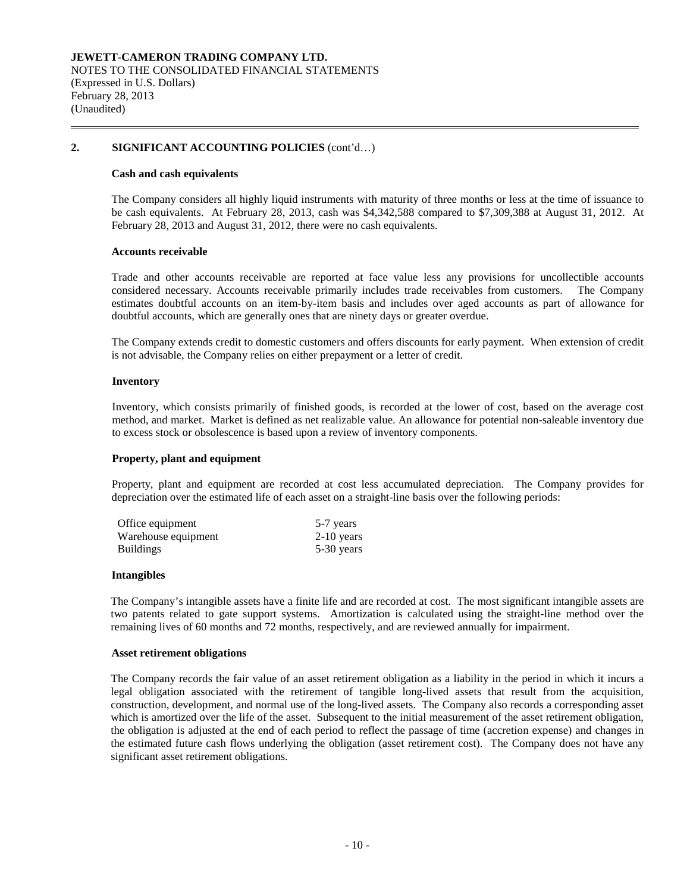#### **Cash and cash equivalents**

The Company considers all highly liquid instruments with maturity of three months or less at the time of issuance to be cash equivalents. At February 28, 2013, cash was \$4,342,588 compared to \$7,309,388 at August 31, 2012. At February 28, 2013 and August 31, 2012, there were no cash equivalents.

#### **Accounts receivable**

Trade and other accounts receivable are reported at face value less any provisions for uncollectible accounts considered necessary. Accounts receivable primarily includes trade receivables from customers. The Company estimates doubtful accounts on an item-by-item basis and includes over aged accounts as part of allowance for doubtful accounts, which are generally ones that are ninety days or greater overdue.

The Company extends credit to domestic customers and offers discounts for early payment. When extension of credit is not advisable, the Company relies on either prepayment or a letter of credit.

#### **Inventory**

Inventory, which consists primarily of finished goods, is recorded at the lower of cost, based on the average cost method, and market. Market is defined as net realizable value. An allowance for potential non-saleable inventory due to excess stock or obsolescence is based upon a review of inventory components.

#### **Property, plant and equipment**

Property, plant and equipment are recorded at cost less accumulated depreciation. The Company provides for depreciation over the estimated life of each asset on a straight-line basis over the following periods:

| Office equipment    | 5-7 years    |
|---------------------|--------------|
| Warehouse equipment | $2-10$ years |
| <b>Buildings</b>    | 5-30 years   |

#### **Intangibles**

The Company's intangible assets have a finite life and are recorded at cost. The most significant intangible assets are two patents related to gate support systems. Amortization is calculated using the straight-line method over the remaining lives of 60 months and 72 months, respectively, and are reviewed annually for impairment.

#### **Asset retirement obligations**

The Company records the fair value of an asset retirement obligation as a liability in the period in which it incurs a legal obligation associated with the retirement of tangible long-lived assets that result from the acquisition, construction, development, and normal use of the long-lived assets. The Company also records a corresponding asset which is amortized over the life of the asset. Subsequent to the initial measurement of the asset retirement obligation, the obligation is adjusted at the end of each period to reflect the passage of time (accretion expense) and changes in the estimated future cash flows underlying the obligation (asset retirement cost). The Company does not have any significant asset retirement obligations.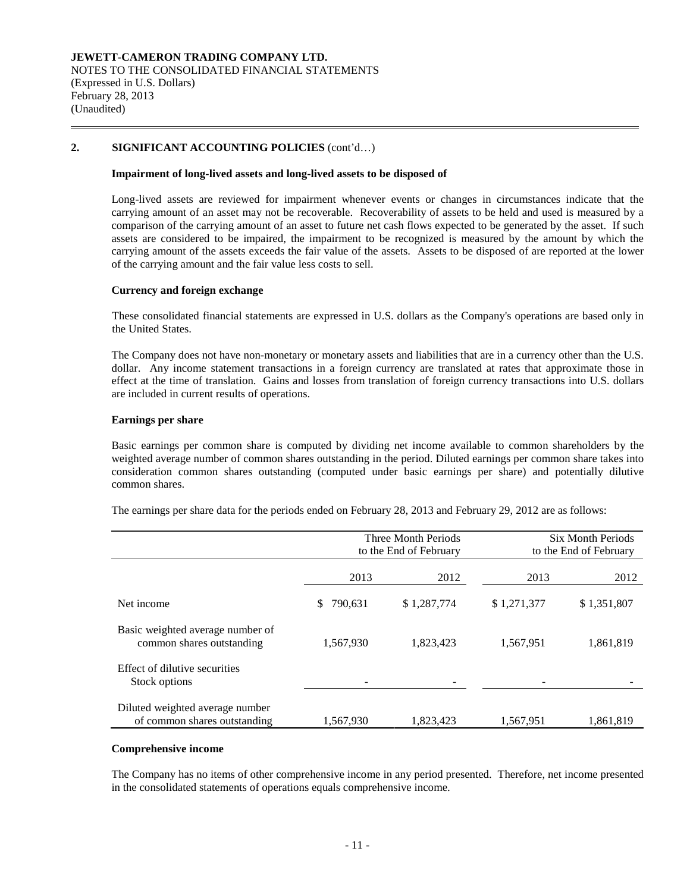#### **Impairment of long-lived assets and long-lived assets to be disposed of**

Long-lived assets are reviewed for impairment whenever events or changes in circumstances indicate that the carrying amount of an asset may not be recoverable. Recoverability of assets to be held and used is measured by a comparison of the carrying amount of an asset to future net cash flows expected to be generated by the asset. If such assets are considered to be impaired, the impairment to be recognized is measured by the amount by which the carrying amount of the assets exceeds the fair value of the assets. Assets to be disposed of are reported at the lower of the carrying amount and the fair value less costs to sell.

#### **Currency and foreign exchange**

These consolidated financial statements are expressed in U.S. dollars as the Company's operations are based only in the United States.

The Company does not have non-monetary or monetary assets and liabilities that are in a currency other than the U.S. dollar. Any income statement transactions in a foreign currency are translated at rates that approximate those in effect at the time of translation. Gains and losses from translation of foreign currency transactions into U.S. dollars are included in current results of operations.

#### **Earnings per share**

Basic earnings per common share is computed by dividing net income available to common shareholders by the weighted average number of common shares outstanding in the period. Diluted earnings per common share takes into consideration common shares outstanding (computed under basic earnings per share) and potentially dilutive common shares.

|                                                                 |               | Three Month Periods<br>to the End of February | <b>Six Month Periods</b><br>to the End of February |             |  |
|-----------------------------------------------------------------|---------------|-----------------------------------------------|----------------------------------------------------|-------------|--|
|                                                                 | 2013          | 2012                                          | 2013                                               | 2012        |  |
| Net income                                                      | 790,631<br>\$ | \$1,287,774                                   | \$1,271,377                                        | \$1,351,807 |  |
| Basic weighted average number of<br>common shares outstanding   | 1,567,930     | 1,823,423                                     | 1,567,951                                          | 1,861,819   |  |
| Effect of dilutive securities<br>Stock options                  |               |                                               |                                                    |             |  |
| Diluted weighted average number<br>of common shares outstanding | 1,567,930     | 1,823,423                                     | 1,567,951                                          | 1,861,819   |  |

The earnings per share data for the periods ended on February 28, 2013 and February 29, 2012 are as follows:

#### **Comprehensive income**

The Company has no items of other comprehensive income in any period presented. Therefore, net income presented in the consolidated statements of operations equals comprehensive income.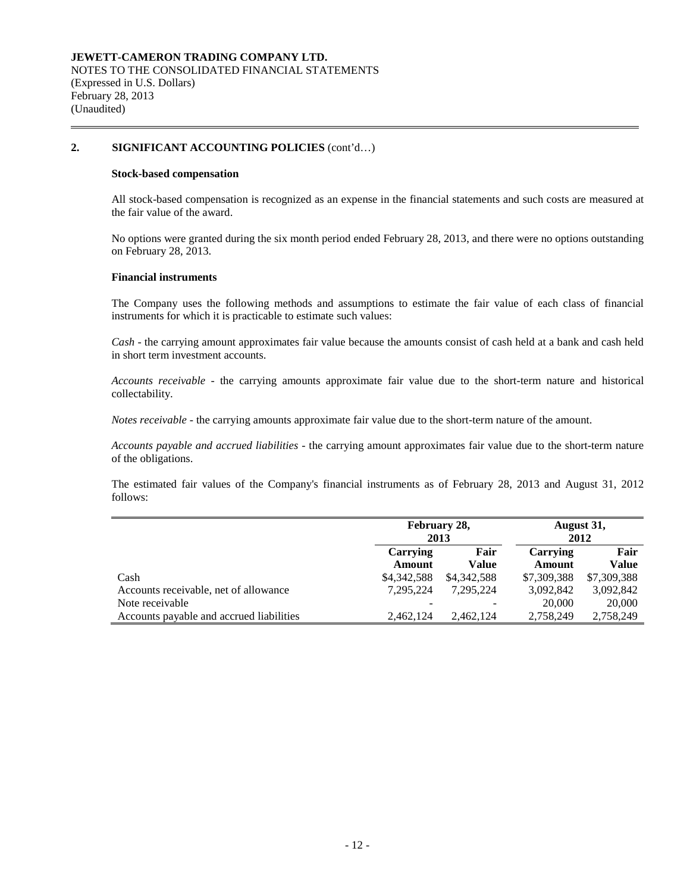#### **Stock-based compensation**

All stock-based compensation is recognized as an expense in the financial statements and such costs are measured at the fair value of the award.

No options were granted during the six month period ended February 28, 2013, and there were no options outstanding on February 28, 2013.

#### **Financial instruments**

The Company uses the following methods and assumptions to estimate the fair value of each class of financial instruments for which it is practicable to estimate such values:

*Cash* - the carrying amount approximates fair value because the amounts consist of cash held at a bank and cash held in short term investment accounts.

*Accounts receivable* - the carrying amounts approximate fair value due to the short-term nature and historical collectability.

*Notes receivable* - the carrying amounts approximate fair value due to the short-term nature of the amount.

*Accounts payable and accrued liabilities* - the carrying amount approximates fair value due to the short-term nature of the obligations.

The estimated fair values of the Company's financial instruments as of February 28, 2013 and August 31, 2012 follows:

|                                          | February 28,<br>August 31,<br>2012<br>2013 |               |                    |               |
|------------------------------------------|--------------------------------------------|---------------|--------------------|---------------|
|                                          | Carrying<br>Amount                         | Fair<br>Value | Carrying<br>Amount | Fair<br>Value |
| Cash                                     | \$4,342,588                                | \$4,342,588   | \$7,309,388        | \$7,309,388   |
| Accounts receivable, net of allowance    | 7.295.224                                  | 7.295.224     | 3,092,842          | 3,092,842     |
| Note receivable                          |                                            |               | 20,000             | 20,000        |
| Accounts payable and accrued liabilities | 2,462,124                                  | 2.462.124     | 2,758,249          | 2,758,249     |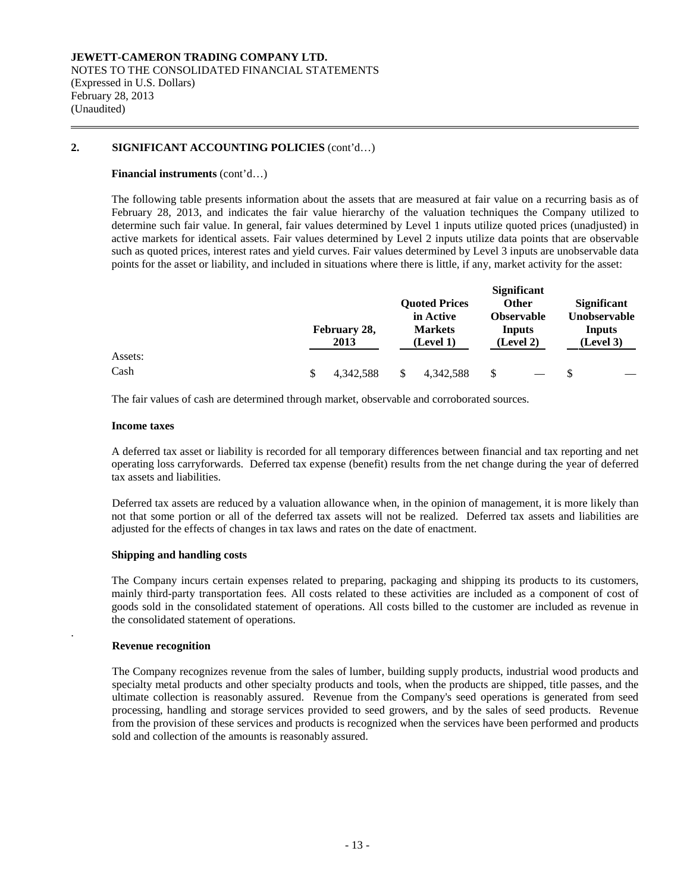#### **Financial instruments** (cont'd…)

The following table presents information about the assets that are measured at fair value on a recurring basis as of February 28, 2013, and indicates the fair value hierarchy of the valuation techniques the Company utilized to determine such fair value. In general, fair values determined by Level 1 inputs utilize quoted prices (unadjusted) in active markets for identical assets. Fair values determined by Level 2 inputs utilize data points that are observable such as quoted prices, interest rates and yield curves. Fair values determined by Level 3 inputs are unobservable data points for the asset or liability, and included in situations where there is little, if any, market activity for the asset:

|         | February 28,<br>2013 | <b>Quoted Prices</b><br>in Active<br><b>Markets</b><br>(Level 1) | <b>Significant</b><br><b>Other</b><br><b>Observable</b><br>Inputs<br>(Level 2) | <b>Significant</b><br><b>Unobservable</b><br>Inputs<br>(Level 3) |
|---------|----------------------|------------------------------------------------------------------|--------------------------------------------------------------------------------|------------------------------------------------------------------|
| Assets: |                      |                                                                  |                                                                                |                                                                  |
| Cash    | \$<br>4.342.588      | 4.342.588                                                        | \$                                                                             |                                                                  |

The fair values of cash are determined through market, observable and corroborated sources.

#### **Income taxes**

A deferred tax asset or liability is recorded for all temporary differences between financial and tax reporting and net operating loss carryforwards. Deferred tax expense (benefit) results from the net change during the year of deferred tax assets and liabilities.

Deferred tax assets are reduced by a valuation allowance when, in the opinion of management, it is more likely than not that some portion or all of the deferred tax assets will not be realized. Deferred tax assets and liabilities are adjusted for the effects of changes in tax laws and rates on the date of enactment.

#### **Shipping and handling costs**

The Company incurs certain expenses related to preparing, packaging and shipping its products to its customers, mainly third-party transportation fees. All costs related to these activities are included as a component of cost of goods sold in the consolidated statement of operations. All costs billed to the customer are included as revenue in the consolidated statement of operations.

#### **Revenue recognition**

.

The Company recognizes revenue from the sales of lumber, building supply products, industrial wood products and specialty metal products and other specialty products and tools, when the products are shipped, title passes, and the ultimate collection is reasonably assured. Revenue from the Company's seed operations is generated from seed processing, handling and storage services provided to seed growers, and by the sales of seed products. Revenue from the provision of these services and products is recognized when the services have been performed and products sold and collection of the amounts is reasonably assured.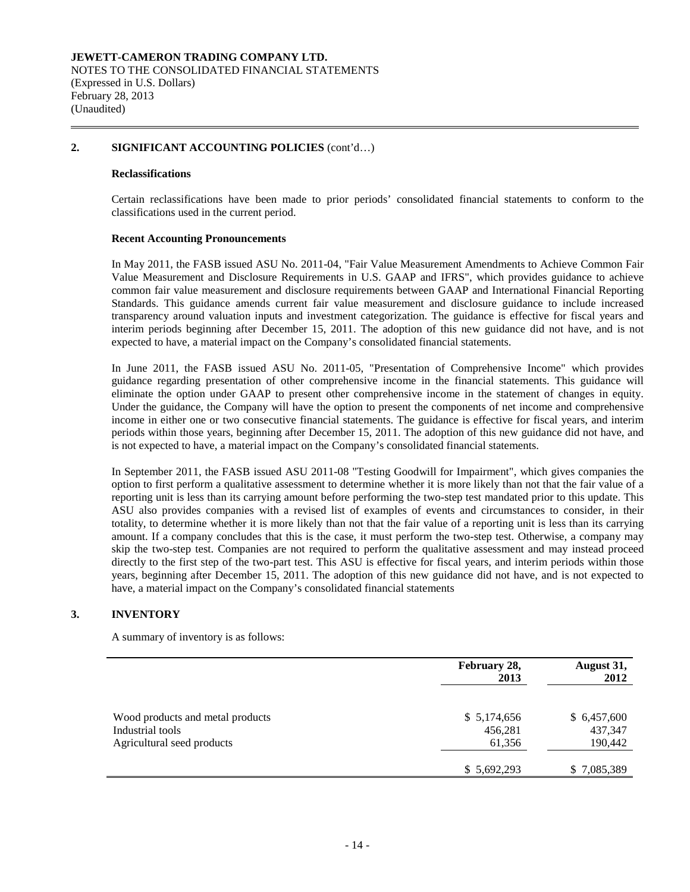#### **Reclassifications**

Certain reclassifications have been made to prior periods' consolidated financial statements to conform to the classifications used in the current period.

#### **Recent Accounting Pronouncements**

In May 2011, the FASB issued ASU No. 2011-04, "Fair Value Measurement Amendments to Achieve Common Fair Value Measurement and Disclosure Requirements in U.S. GAAP and IFRS", which provides guidance to achieve common fair value measurement and disclosure requirements between GAAP and International Financial Reporting Standards. This guidance amends current fair value measurement and disclosure guidance to include increased transparency around valuation inputs and investment categorization. The guidance is effective for fiscal years and interim periods beginning after December 15, 2011. The adoption of this new guidance did not have, and is not expected to have, a material impact on the Company's consolidated financial statements.

In June 2011, the FASB issued ASU No. 2011-05, "Presentation of Comprehensive Income" which provides guidance regarding presentation of other comprehensive income in the financial statements. This guidance will eliminate the option under GAAP to present other comprehensive income in the statement of changes in equity. Under the guidance, the Company will have the option to present the components of net income and comprehensive income in either one or two consecutive financial statements. The guidance is effective for fiscal years, and interim periods within those years, beginning after December 15, 2011. The adoption of this new guidance did not have, and is not expected to have, a material impact on the Company's consolidated financial statements.

In September 2011, the FASB issued ASU 2011-08 "Testing Goodwill for Impairment", which gives companies the option to first perform a qualitative assessment to determine whether it is more likely than not that the fair value of a reporting unit is less than its carrying amount before performing the two-step test mandated prior to this update. This ASU also provides companies with a revised list of examples of events and circumstances to consider, in their totality, to determine whether it is more likely than not that the fair value of a reporting unit is less than its carrying amount. If a company concludes that this is the case, it must perform the two-step test. Otherwise, a company may skip the two-step test. Companies are not required to perform the qualitative assessment and may instead proceed directly to the first step of the two-part test. This ASU is effective for fiscal years, and interim periods within those years, beginning after December 15, 2011. The adoption of this new guidance did not have, and is not expected to have, a material impact on the Company's consolidated financial statements

#### **3. INVENTORY**

A summary of inventory is as follows:

|                                                                                    | February 28,<br>2013             | August 31,<br>2012                |
|------------------------------------------------------------------------------------|----------------------------------|-----------------------------------|
| Wood products and metal products<br>Industrial tools<br>Agricultural seed products | \$5,174,656<br>456,281<br>61,356 | \$6,457,600<br>437,347<br>190,442 |
|                                                                                    | \$5,692,293                      | \$7,085,389                       |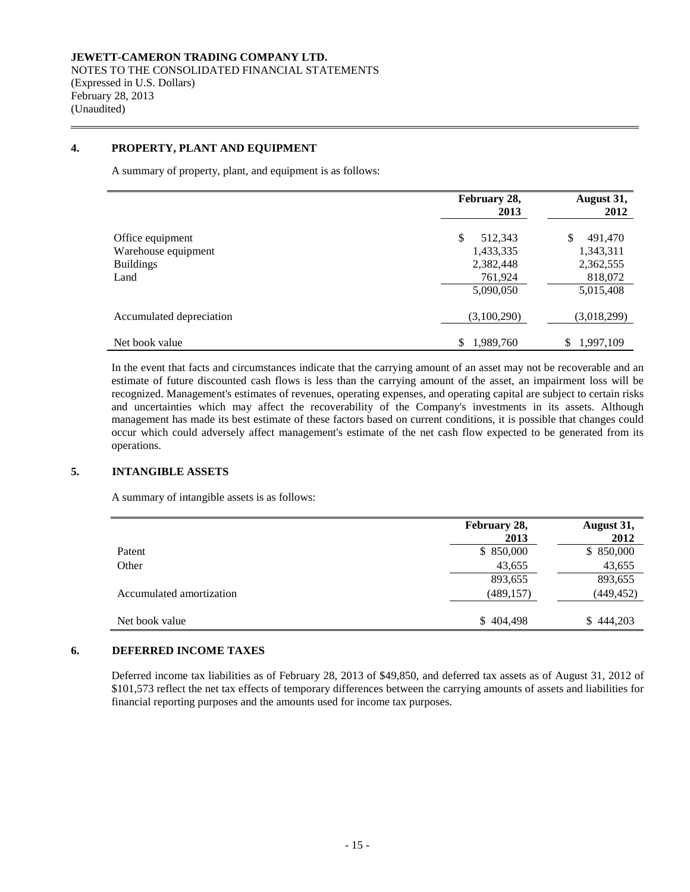# **4. PROPERTY, PLANT AND EQUIPMENT**

A summary of property, plant, and equipment is as follows:

|                          | February 28,<br>2013 | August 31,<br>2012 |
|--------------------------|----------------------|--------------------|
| Office equipment         | \$<br>512,343        | \$<br>491,470      |
| Warehouse equipment      | 1,433,335            | 1,343,311          |
| <b>Buildings</b>         | 2,382,448            | 2,362,555          |
| Land                     | 761,924              | 818,072            |
|                          | 5,090,050            | 5,015,408          |
| Accumulated depreciation | (3,100,290)          | (3,018,299)        |
| Net book value           | 1,989,760<br>\$      | 1,997,109<br>\$    |

In the event that facts and circumstances indicate that the carrying amount of an asset may not be recoverable and an estimate of future discounted cash flows is less than the carrying amount of the asset, an impairment loss will be recognized. Management's estimates of revenues, operating expenses, and operating capital are subject to certain risks and uncertainties which may affect the recoverability of the Company's investments in its assets. Although management has made its best estimate of these factors based on current conditions, it is possible that changes could occur which could adversely affect management's estimate of the net cash flow expected to be generated from its operations.

# **5. INTANGIBLE ASSETS**

A summary of intangible assets is as follows:

|                          | February 28, | August 31, |
|--------------------------|--------------|------------|
|                          | 2013         | 2012       |
| Patent                   | \$850,000    | \$850,000  |
| Other                    | 43,655       | 43,655     |
|                          | 893,655      | 893,655    |
| Accumulated amortization | (489, 157)   | (449, 452) |
| Net book value           | \$404,498    | \$444,203  |

# **6. DEFERRED INCOME TAXES**

Deferred income tax liabilities as of February 28, 2013 of \$49,850, and deferred tax assets as of August 31, 2012 of \$101,573 reflect the net tax effects of temporary differences between the carrying amounts of assets and liabilities for financial reporting purposes and the amounts used for income tax purposes.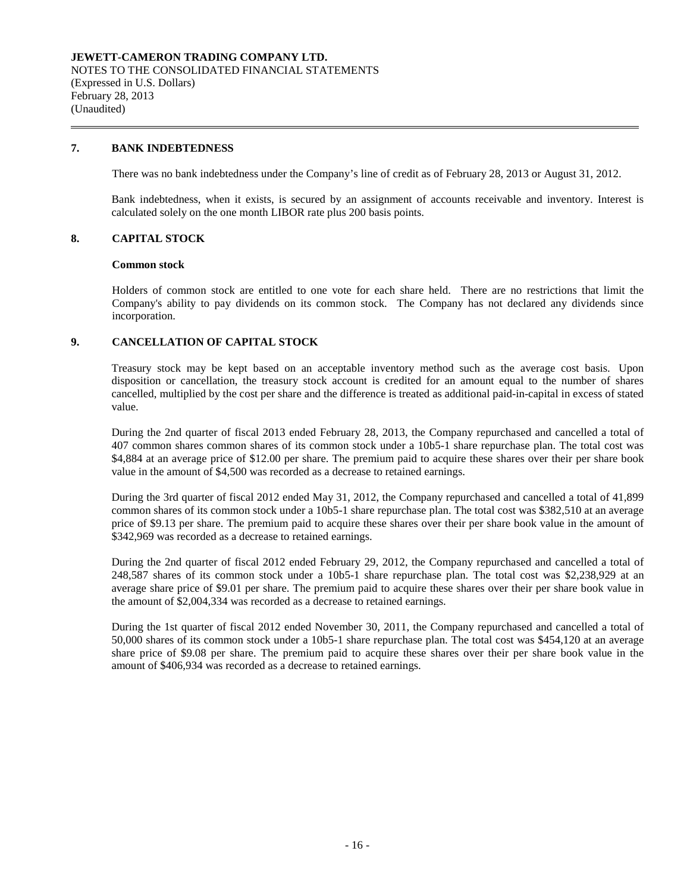# **7. BANK INDEBTEDNESS**

There was no bank indebtedness under the Company's line of credit as of February 28, 2013 or August 31, 2012.

Bank indebtedness, when it exists, is secured by an assignment of accounts receivable and inventory. Interest is calculated solely on the one month LIBOR rate plus 200 basis points.

# **8. CAPITAL STOCK**

#### **Common stock**

Holders of common stock are entitled to one vote for each share held. There are no restrictions that limit the Company's ability to pay dividends on its common stock. The Company has not declared any dividends since incorporation.

# **9. CANCELLATION OF CAPITAL STOCK**

Treasury stock may be kept based on an acceptable inventory method such as the average cost basis. Upon disposition or cancellation, the treasury stock account is credited for an amount equal to the number of shares cancelled, multiplied by the cost per share and the difference is treated as additional paid-in-capital in excess of stated value.

During the 2nd quarter of fiscal 2013 ended February 28, 2013, the Company repurchased and cancelled a total of 407 common shares common shares of its common stock under a 10b5-1 share repurchase plan. The total cost was \$4,884 at an average price of \$12.00 per share. The premium paid to acquire these shares over their per share book value in the amount of \$4,500 was recorded as a decrease to retained earnings.

During the 3rd quarter of fiscal 2012 ended May 31, 2012, the Company repurchased and cancelled a total of 41,899 common shares of its common stock under a 10b5-1 share repurchase plan. The total cost was \$382,510 at an average price of \$9.13 per share. The premium paid to acquire these shares over their per share book value in the amount of \$342,969 was recorded as a decrease to retained earnings.

During the 2nd quarter of fiscal 2012 ended February 29, 2012, the Company repurchased and cancelled a total of 248,587 shares of its common stock under a 10b5-1 share repurchase plan. The total cost was \$2,238,929 at an average share price of \$9.01 per share. The premium paid to acquire these shares over their per share book value in the amount of \$2,004,334 was recorded as a decrease to retained earnings.

During the 1st quarter of fiscal 2012 ended November 30, 2011, the Company repurchased and cancelled a total of 50,000 shares of its common stock under a 10b5-1 share repurchase plan. The total cost was \$454,120 at an average share price of \$9.08 per share. The premium paid to acquire these shares over their per share book value in the amount of \$406,934 was recorded as a decrease to retained earnings.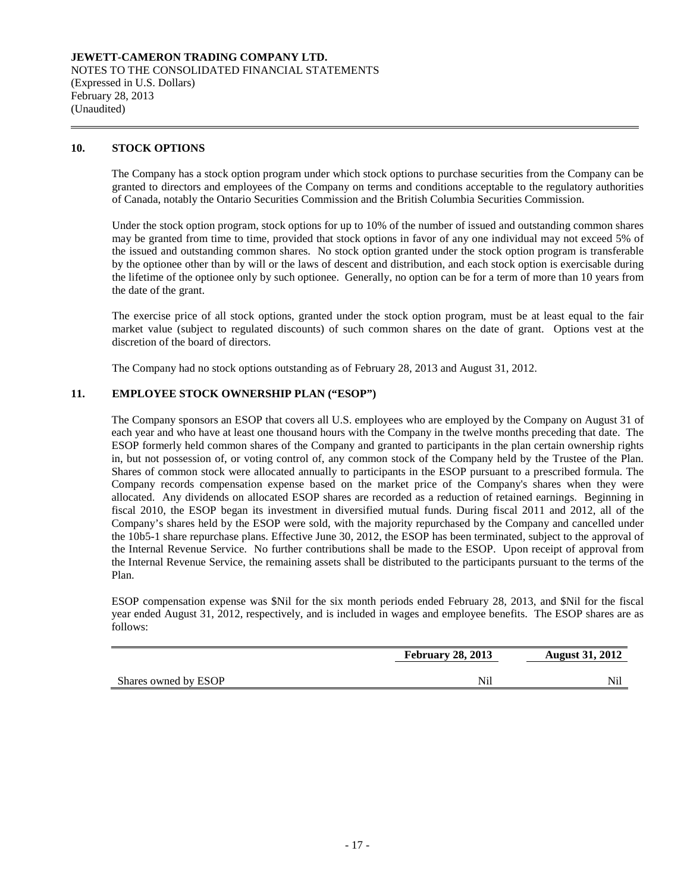# **10. STOCK OPTIONS**

The Company has a stock option program under which stock options to purchase securities from the Company can be granted to directors and employees of the Company on terms and conditions acceptable to the regulatory authorities of Canada, notably the Ontario Securities Commission and the British Columbia Securities Commission.

Under the stock option program, stock options for up to 10% of the number of issued and outstanding common shares may be granted from time to time, provided that stock options in favor of any one individual may not exceed 5% of the issued and outstanding common shares. No stock option granted under the stock option program is transferable by the optionee other than by will or the laws of descent and distribution, and each stock option is exercisable during the lifetime of the optionee only by such optionee. Generally, no option can be for a term of more than 10 years from the date of the grant.

The exercise price of all stock options, granted under the stock option program, must be at least equal to the fair market value (subject to regulated discounts) of such common shares on the date of grant. Options vest at the discretion of the board of directors.

The Company had no stock options outstanding as of February 28, 2013 and August 31, 2012.

# **11. EMPLOYEE STOCK OWNERSHIP PLAN ("ESOP")**

The Company sponsors an ESOP that covers all U.S. employees who are employed by the Company on August 31 of each year and who have at least one thousand hours with the Company in the twelve months preceding that date. The ESOP formerly held common shares of the Company and granted to participants in the plan certain ownership rights in, but not possession of, or voting control of, any common stock of the Company held by the Trustee of the Plan. Shares of common stock were allocated annually to participants in the ESOP pursuant to a prescribed formula. The Company records compensation expense based on the market price of the Company's shares when they were allocated. Any dividends on allocated ESOP shares are recorded as a reduction of retained earnings. Beginning in fiscal 2010, the ESOP began its investment in diversified mutual funds. During fiscal 2011 and 2012, all of the Company's shares held by the ESOP were sold, with the majority repurchased by the Company and cancelled under the 10b5-1 share repurchase plans. Effective June 30, 2012, the ESOP has been terminated, subject to the approval of the Internal Revenue Service. No further contributions shall be made to the ESOP. Upon receipt of approval from the Internal Revenue Service, the remaining assets shall be distributed to the participants pursuant to the terms of the Plan.

ESOP compensation expense was \$Nil for the six month periods ended February 28, 2013, and \$Nil for the fiscal year ended August 31, 2012, respectively, and is included in wages and employee benefits. The ESOP shares are as follows:

|                      | <b>February 28, 2013</b> | <b>August 31, 2012</b> |
|----------------------|--------------------------|------------------------|
| Shares owned by ESOP |                          | Nil                    |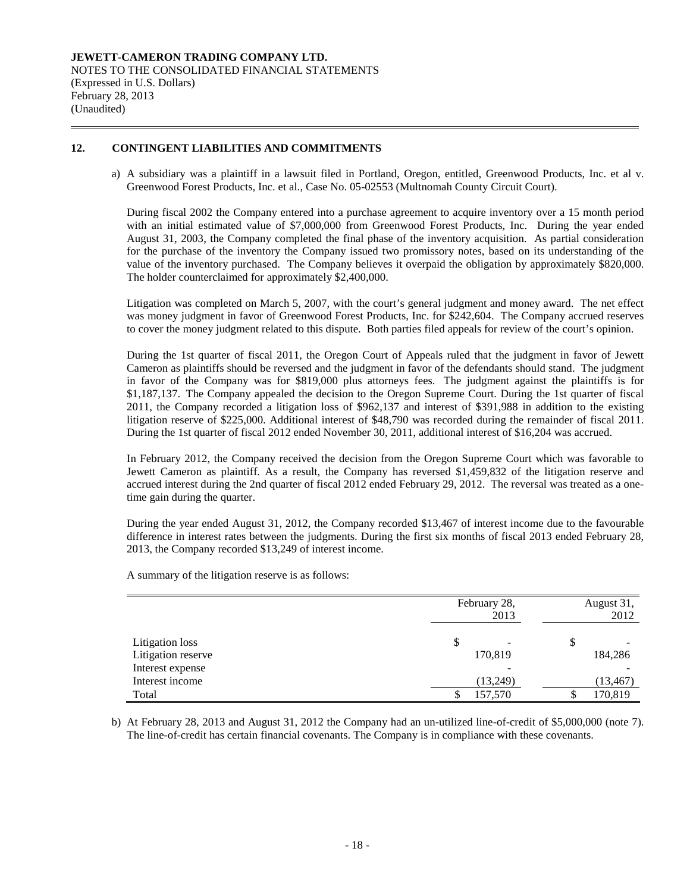### **JEWETT-CAMERON TRADING COMPANY LTD.** NOTES TO THE CONSOLIDATED FINANCIAL STATEMENTS (Expressed in U.S. Dollars) February 28, 2013 (Unaudited)

# **12. CONTINGENT LIABILITIES AND COMMITMENTS**

a) A subsidiary was a plaintiff in a lawsuit filed in Portland, Oregon, entitled, Greenwood Products, Inc. et al v. Greenwood Forest Products, Inc. et al., Case No. 05-02553 (Multnomah County Circuit Court).

During fiscal 2002 the Company entered into a purchase agreement to acquire inventory over a 15 month period with an initial estimated value of \$7,000,000 from Greenwood Forest Products, Inc. During the year ended August 31, 2003, the Company completed the final phase of the inventory acquisition. As partial consideration for the purchase of the inventory the Company issued two promissory notes, based on its understanding of the value of the inventory purchased. The Company believes it overpaid the obligation by approximately \$820,000. The holder counterclaimed for approximately \$2,400,000.

Litigation was completed on March 5, 2007, with the court's general judgment and money award. The net effect was money judgment in favor of Greenwood Forest Products, Inc. for \$242,604. The Company accrued reserves to cover the money judgment related to this dispute. Both parties filed appeals for review of the court's opinion.

During the 1st quarter of fiscal 2011, the Oregon Court of Appeals ruled that the judgment in favor of Jewett Cameron as plaintiffs should be reversed and the judgment in favor of the defendants should stand. The judgment in favor of the Company was for \$819,000 plus attorneys fees. The judgment against the plaintiffs is for \$1,187,137. The Company appealed the decision to the Oregon Supreme Court. During the 1st quarter of fiscal 2011, the Company recorded a litigation loss of \$962,137 and interest of \$391,988 in addition to the existing litigation reserve of \$225,000. Additional interest of \$48,790 was recorded during the remainder of fiscal 2011. During the 1st quarter of fiscal 2012 ended November 30, 2011, additional interest of \$16,204 was accrued.

In February 2012, the Company received the decision from the Oregon Supreme Court which was favorable to Jewett Cameron as plaintiff. As a result, the Company has reversed \$1,459,832 of the litigation reserve and accrued interest during the 2nd quarter of fiscal 2012 ended February 29, 2012. The reversal was treated as a onetime gain during the quarter.

During the year ended August 31, 2012, the Company recorded \$13,467 of interest income due to the favourable difference in interest rates between the judgments. During the first six months of fiscal 2013 ended February 28, 2013, the Company recorded \$13,249 of interest income.

A summary of the litigation reserve is as follows:

|                    | February 28,<br>2013 | August 31,<br>2012 |  |  |
|--------------------|----------------------|--------------------|--|--|
| Litigation loss    | \$<br>٠              |                    |  |  |
| Litigation reserve | 170,819              | 184,286            |  |  |
| Interest expense   |                      |                    |  |  |
| Interest income    | (13,249)             | (13, 467)          |  |  |
| Total              | 157,570              | 170,819            |  |  |

b) At February 28, 2013 and August 31, 2012 the Company had an un-utilized line-of-credit of \$5,000,000 (note 7). The line-of-credit has certain financial covenants. The Company is in compliance with these covenants.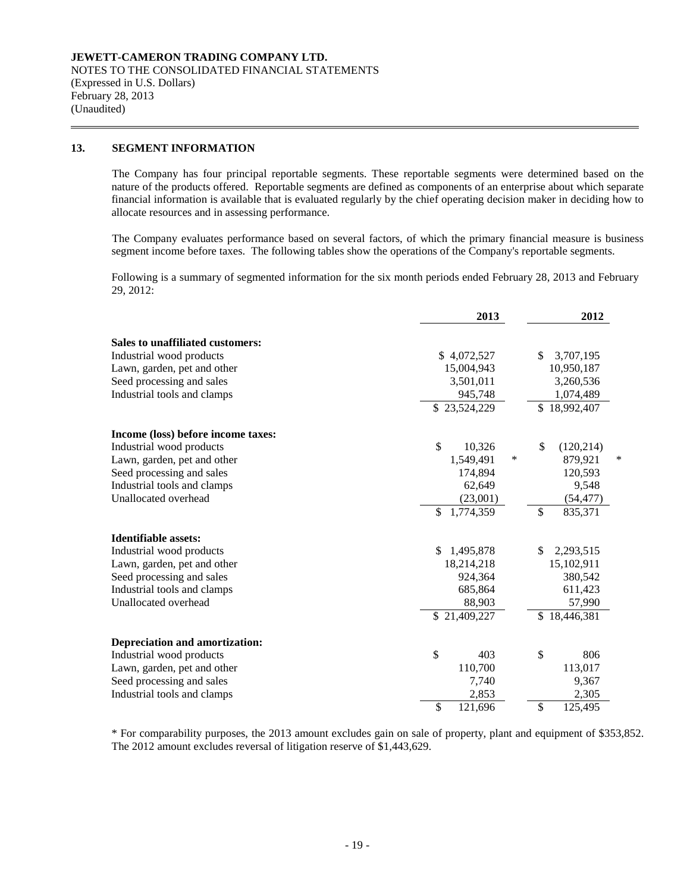#### **13. SEGMENT INFORMATION**

The Company has four principal reportable segments. These reportable segments were determined based on the nature of the products offered. Reportable segments are defined as components of an enterprise about which separate financial information is available that is evaluated regularly by the chief operating decision maker in deciding how to allocate resources and in assessing performance.

The Company evaluates performance based on several factors, of which the primary financial measure is business segment income before taxes. The following tables show the operations of the Company's reportable segments.

Following is a summary of segmented information for the six month periods ended February 28, 2013 and February 29, 2012:

|                                       | 2013            | 2012 |              |   |
|---------------------------------------|-----------------|------|--------------|---|
| Sales to unaffiliated customers:      |                 |      |              |   |
| Industrial wood products              | \$4,072,527     | \$   | 3,707,195    |   |
| Lawn, garden, pet and other           | 15,004,943      |      | 10,950,187   |   |
| Seed processing and sales             | 3,501,011       |      | 3,260,536    |   |
| Industrial tools and clamps           | 945,748         |      | 1,074,489    |   |
|                                       | \$23,524,229    |      | \$18,992,407 |   |
| Income (loss) before income taxes:    |                 |      |              |   |
| Industrial wood products              | \$<br>10,326    | \$   | (120, 214)   |   |
| Lawn, garden, pet and other           | ∗<br>1,549,491  |      | 879,921      | * |
| Seed processing and sales             | 174.894         |      | 120,593      |   |
| Industrial tools and clamps           | 62,649          |      | 9,548        |   |
| Unallocated overhead                  | (23,001)        |      | (54, 477)    |   |
|                                       | \$<br>1,774,359 | \$   | 835,371      |   |
| <b>Identifiable assets:</b>           |                 |      |              |   |
| Industrial wood products              | \$<br>1,495,878 | \$   | 2,293,515    |   |
| Lawn, garden, pet and other           | 18,214,218      |      | 15,102,911   |   |
| Seed processing and sales             | 924,364         |      | 380,542      |   |
| Industrial tools and clamps           | 685,864         |      | 611,423      |   |
| Unallocated overhead                  | 88,903          |      | 57,990       |   |
|                                       | \$21,409,227    |      | \$18,446,381 |   |
| <b>Depreciation and amortization:</b> |                 |      |              |   |
| Industrial wood products              | \$<br>403       | \$   | 806          |   |
| Lawn, garden, pet and other           | 110,700         |      | 113,017      |   |
| Seed processing and sales             | 7,740           |      | 9,367        |   |
| Industrial tools and clamps           | 2,853           |      | 2,305        |   |
|                                       | \$<br>121,696   | \$   | 125,495      |   |

\* For comparability purposes, the 2013 amount excludes gain on sale of property, plant and equipment of \$353,852. The 2012 amount excludes reversal of litigation reserve of \$1,443,629.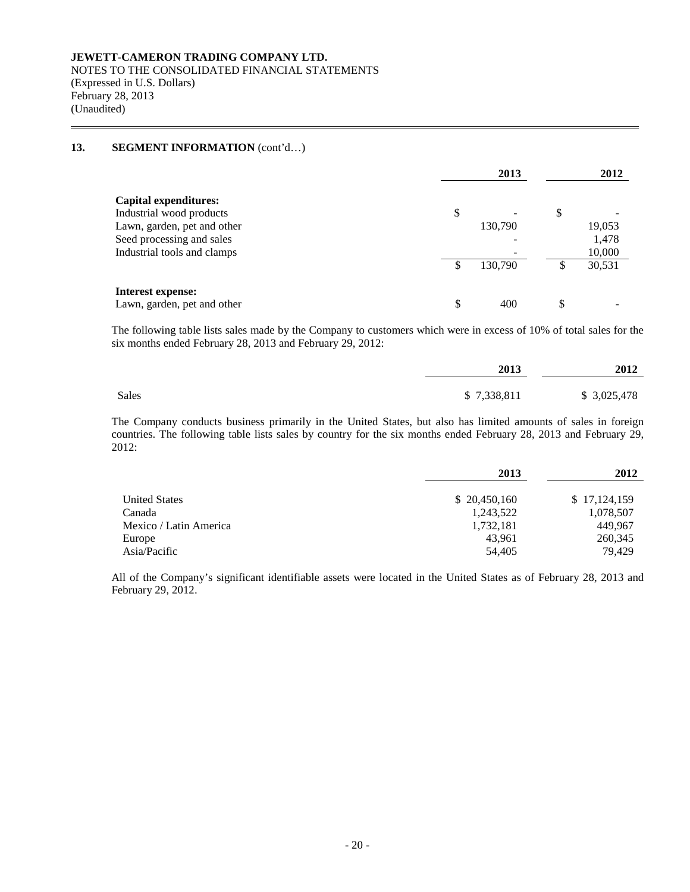NOTES TO THE CONSOLIDATED FINANCIAL STATEMENTS (Expressed in U.S. Dollars) February 28, 2013 (Unaudited)

# **13. SEGMENT INFORMATION** (cont'd…)

|                                                          | 2013          | 2012 |        |
|----------------------------------------------------------|---------------|------|--------|
| <b>Capital expenditures:</b><br>Industrial wood products | \$            | \$   |        |
| Lawn, garden, pet and other                              | 130,790       |      | 19,053 |
| Seed processing and sales                                |               |      | 1,478  |
| Industrial tools and clamps                              |               |      | 10,000 |
|                                                          | \$<br>130,790 | S    | 30,531 |
| Interest expense:<br>Lawn, garden, pet and other         | \$<br>400     | \$   |        |

The following table lists sales made by the Company to customers which were in excess of 10% of total sales for the six months ended February 28, 2013 and February 29, 2012:

|       | 2013        | 2012        |  |
|-------|-------------|-------------|--|
| Sales | \$7,338,811 | \$3,025,478 |  |

The Company conducts business primarily in the United States, but also has limited amounts of sales in foreign countries. The following table lists sales by country for the six months ended February 28, 2013 and February 29, 2012:

|                        | 2013         | 2012         |
|------------------------|--------------|--------------|
| <b>United States</b>   | \$20,450,160 | \$17,124,159 |
| Canada                 | 1,243,522    | 1,078,507    |
| Mexico / Latin America | 1,732,181    | 449.967      |
| Europe                 | 43.961       | 260,345      |
| Asia/Pacific           | 54,405       | 79.429       |

All of the Company's significant identifiable assets were located in the United States as of February 28, 2013 and February 29, 2012.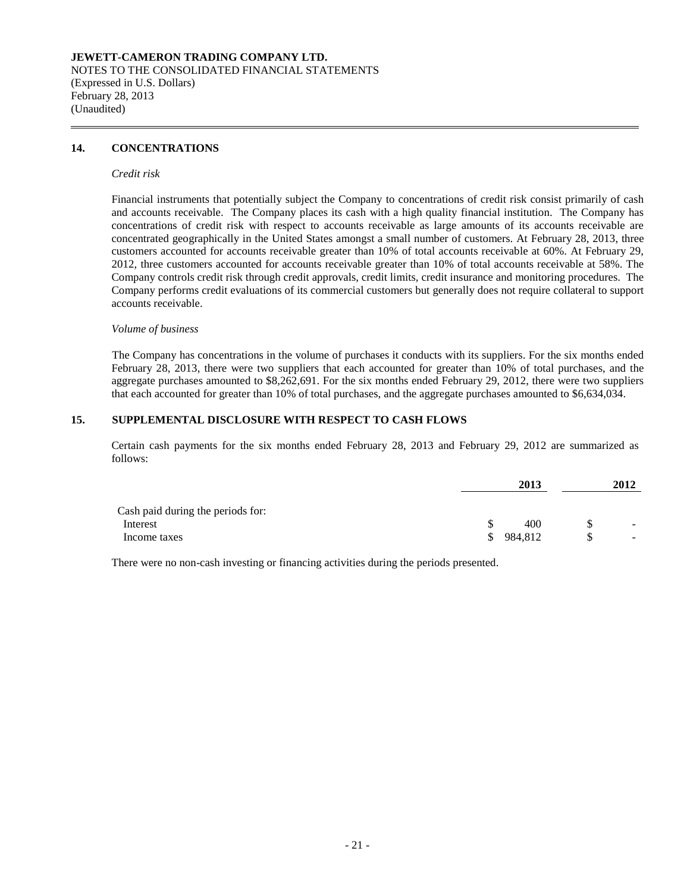### **JEWETT-CAMERON TRADING COMPANY LTD.** NOTES TO THE CONSOLIDATED FINANCIAL STATEMENTS (Expressed in U.S. Dollars) February 28, 2013 (Unaudited)

# **14. CONCENTRATIONS**

#### *Credit risk*

Financial instruments that potentially subject the Company to concentrations of credit risk consist primarily of cash and accounts receivable. The Company places its cash with a high quality financial institution. The Company has concentrations of credit risk with respect to accounts receivable as large amounts of its accounts receivable are concentrated geographically in the United States amongst a small number of customers. At February 28, 2013, three customers accounted for accounts receivable greater than 10% of total accounts receivable at 60%. At February 29, 2012, three customers accounted for accounts receivable greater than 10% of total accounts receivable at 58%. The Company controls credit risk through credit approvals, credit limits, credit insurance and monitoring procedures. The Company performs credit evaluations of its commercial customers but generally does not require collateral to support accounts receivable.

#### *Volume of business*

The Company has concentrations in the volume of purchases it conducts with its suppliers. For the six months ended February 28, 2013, there were two suppliers that each accounted for greater than 10% of total purchases, and the aggregate purchases amounted to \$8,262,691. For the six months ended February 29, 2012, there were two suppliers that each accounted for greater than 10% of total purchases, and the aggregate purchases amounted to \$6,634,034.

#### **15. SUPPLEMENTAL DISCLOSURE WITH RESPECT TO CASH FLOWS**

Certain cash payments for the six months ended February 28, 2013 and February 29, 2012 are summarized as follows:

|                                   |     | 2013    | 2012 |  |
|-----------------------------------|-----|---------|------|--|
| Cash paid during the periods for: |     |         |      |  |
| Interest                          |     | 400     | ۰.   |  |
| Income taxes                      | \$. | 984.812 | ۰.   |  |

There were no non-cash investing or financing activities during the periods presented.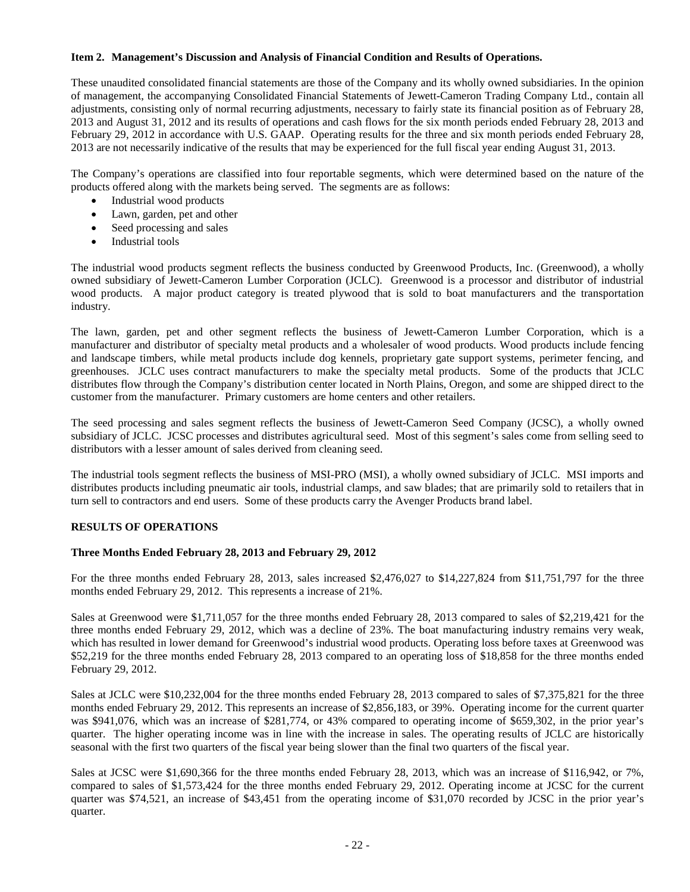### **Item 2. Management's Discussion and Analysis of Financial Condition and Results of Operations.**

These unaudited consolidated financial statements are those of the Company and its wholly owned subsidiaries. In the opinion of management, the accompanying Consolidated Financial Statements of Jewett-Cameron Trading Company Ltd., contain all adjustments, consisting only of normal recurring adjustments, necessary to fairly state its financial position as of February 28, 2013 and August 31, 2012 and its results of operations and cash flows for the six month periods ended February 28, 2013 and February 29, 2012 in accordance with U.S. GAAP. Operating results for the three and six month periods ended February 28, 2013 are not necessarily indicative of the results that may be experienced for the full fiscal year ending August 31, 2013.

The Company's operations are classified into four reportable segments, which were determined based on the nature of the products offered along with the markets being served. The segments are as follows:

- Industrial wood products
- Lawn, garden, pet and other
- Seed processing and sales
- Industrial tools

The industrial wood products segment reflects the business conducted by Greenwood Products, Inc. (Greenwood), a wholly owned subsidiary of Jewett-Cameron Lumber Corporation (JCLC). Greenwood is a processor and distributor of industrial wood products. A major product category is treated plywood that is sold to boat manufacturers and the transportation industry.

The lawn, garden, pet and other segment reflects the business of Jewett-Cameron Lumber Corporation, which is a manufacturer and distributor of specialty metal products and a wholesaler of wood products. Wood products include fencing and landscape timbers, while metal products include dog kennels, proprietary gate support systems, perimeter fencing, and greenhouses. JCLC uses contract manufacturers to make the specialty metal products. Some of the products that JCLC distributes flow through the Company's distribution center located in North Plains, Oregon, and some are shipped direct to the customer from the manufacturer. Primary customers are home centers and other retailers.

The seed processing and sales segment reflects the business of Jewett-Cameron Seed Company (JCSC), a wholly owned subsidiary of JCLC. JCSC processes and distributes agricultural seed. Most of this segment's sales come from selling seed to distributors with a lesser amount of sales derived from cleaning seed.

The industrial tools segment reflects the business of MSI-PRO (MSI), a wholly owned subsidiary of JCLC. MSI imports and distributes products including pneumatic air tools, industrial clamps, and saw blades; that are primarily sold to retailers that in turn sell to contractors and end users. Some of these products carry the Avenger Products brand label.

# **RESULTS OF OPERATIONS**

# **Three Months Ended February 28, 2013 and February 29, 2012**

For the three months ended February 28, 2013, sales increased \$2,476,027 to \$14,227,824 from \$11,751,797 for the three months ended February 29, 2012. This represents a increase of 21%.

Sales at Greenwood were \$1,711,057 for the three months ended February 28, 2013 compared to sales of \$2,219,421 for the three months ended February 29, 2012, which was a decline of 23%. The boat manufacturing industry remains very weak, which has resulted in lower demand for Greenwood's industrial wood products. Operating loss before taxes at Greenwood was \$52,219 for the three months ended February 28, 2013 compared to an operating loss of \$18,858 for the three months ended February 29, 2012.

Sales at JCLC were \$10,232,004 for the three months ended February 28, 2013 compared to sales of \$7,375,821 for the three months ended February 29, 2012. This represents an increase of \$2,856,183, or 39%. Operating income for the current quarter was \$941,076, which was an increase of \$281,774, or 43% compared to operating income of \$659,302, in the prior year's quarter. The higher operating income was in line with the increase in sales. The operating results of JCLC are historically seasonal with the first two quarters of the fiscal year being slower than the final two quarters of the fiscal year.

Sales at JCSC were \$1,690,366 for the three months ended February 28, 2013, which was an increase of \$116,942, or 7%, compared to sales of \$1,573,424 for the three months ended February 29, 2012. Operating income at JCSC for the current quarter was \$74,521, an increase of \$43,451 from the operating income of \$31,070 recorded by JCSC in the prior year's quarter.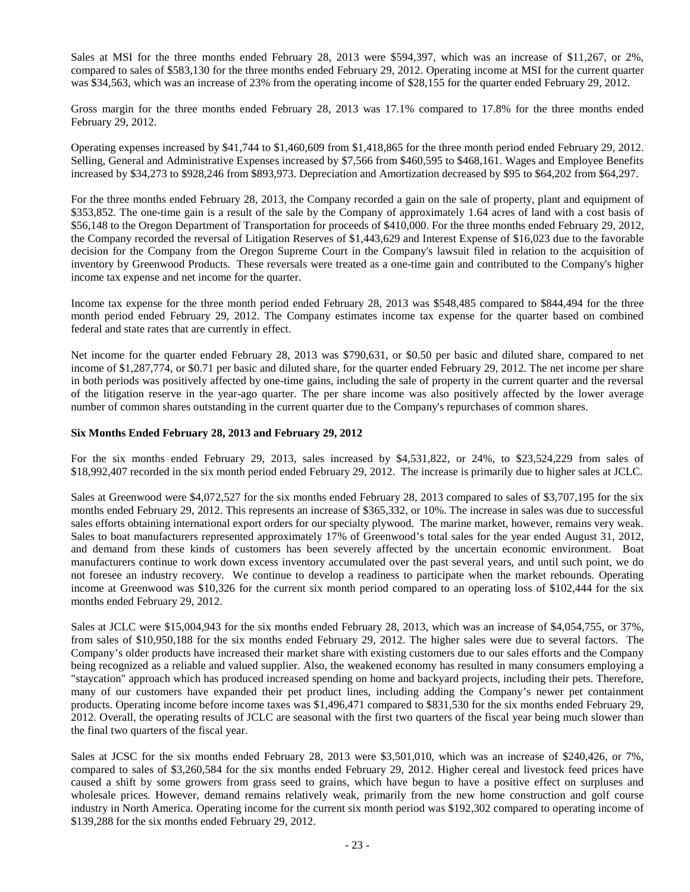Sales at MSI for the three months ended February 28, 2013 were \$594,397, which was an increase of \$11,267, or 2%, compared to sales of \$583,130 for the three months ended February 29, 2012. Operating income at MSI for the current quarter was \$34,563, which was an increase of 23% from the operating income of \$28,155 for the quarter ended February 29, 2012.

Gross margin for the three months ended February 28, 2013 was 17.1% compared to 17.8% for the three months ended February 29, 2012.

Operating expenses increased by \$41,744 to \$1,460,609 from \$1,418,865 for the three month period ended February 29, 2012. Selling, General and Administrative Expenses increased by \$7,566 from \$460,595 to \$468,161. Wages and Employee Benefits increased by \$34,273 to \$928,246 from \$893,973. Depreciation and Amortization decreased by \$95 to \$64,202 from \$64,297.

For the three months ended February 28, 2013, the Company recorded a gain on the sale of property, plant and equipment of \$353,852. The one-time gain is a result of the sale by the Company of approximately 1.64 acres of land with a cost basis of \$56,148 to the Oregon Department of Transportation for proceeds of \$410,000. For the three months ended February 29, 2012, the Company recorded the reversal of Litigation Reserves of \$1,443,629 and Interest Expense of \$16,023 due to the favorable decision for the Company from the Oregon Supreme Court in the Company's lawsuit filed in relation to the acquisition of inventory by Greenwood Products. These reversals were treated as a one-time gain and contributed to the Company's higher income tax expense and net income for the quarter.

Income tax expense for the three month period ended February 28, 2013 was \$548,485 compared to \$844,494 for the three month period ended February 29, 2012. The Company estimates income tax expense for the quarter based on combined federal and state rates that are currently in effect.

Net income for the quarter ended February 28, 2013 was \$790,631, or \$0.50 per basic and diluted share, compared to net income of \$1,287,774, or \$0.71 per basic and diluted share, for the quarter ended February 29, 2012. The net income per share in both periods was positively affected by one-time gains, including the sale of property in the current quarter and the reversal of the litigation reserve in the year-ago quarter. The per share income was also positively affected by the lower average number of common shares outstanding in the current quarter due to the Company's repurchases of common shares.

# **Six Months Ended February 28, 2013 and February 29, 2012**

For the six months ended February 29, 2013, sales increased by \$4,531,822, or 24%, to \$23,524,229 from sales of \$18,992,407 recorded in the six month period ended February 29, 2012. The increase is primarily due to higher sales at JCLC.

Sales at Greenwood were \$4,072,527 for the six months ended February 28, 2013 compared to sales of \$3,707,195 for the six months ended February 29, 2012. This represents an increase of \$365,332, or 10%. The increase in sales was due to successful sales efforts obtaining international export orders for our specialty plywood. The marine market, however, remains very weak. Sales to boat manufacturers represented approximately 17% of Greenwood's total sales for the year ended August 31, 2012, and demand from these kinds of customers has been severely affected by the uncertain economic environment. Boat manufacturers continue to work down excess inventory accumulated over the past several years, and until such point, we do not foresee an industry recovery. We continue to develop a readiness to participate when the market rebounds. Operating income at Greenwood was \$10,326 for the current six month period compared to an operating loss of \$102,444 for the six months ended February 29, 2012.

Sales at JCLC were \$15,004,943 for the six months ended February 28, 2013, which was an increase of \$4,054,755, or 37%, from sales of \$10,950,188 for the six months ended February 29, 2012. The higher sales were due to several factors. The Company's older products have increased their market share with existing customers due to our sales efforts and the Company being recognized as a reliable and valued supplier. Also, the weakened economy has resulted in many consumers employing a "staycation" approach which has produced increased spending on home and backyard projects, including their pets. Therefore, many of our customers have expanded their pet product lines, including adding the Company's newer pet containment products. Operating income before income taxes was \$1,496,471 compared to \$831,530 for the six months ended February 29, 2012. Overall, the operating results of JCLC are seasonal with the first two quarters of the fiscal year being much slower than the final two quarters of the fiscal year.

Sales at JCSC for the six months ended February 28, 2013 were \$3,501,010, which was an increase of \$240,426, or 7%, compared to sales of \$3,260,584 for the six months ended February 29, 2012. Higher cereal and livestock feed prices have caused a shift by some growers from grass seed to grains, which have begun to have a positive effect on surpluses and wholesale prices. However, demand remains relatively weak, primarily from the new home construction and golf course industry in North America. Operating income for the current six month period was \$192,302 compared to operating income of \$139,288 for the six months ended February 29, 2012.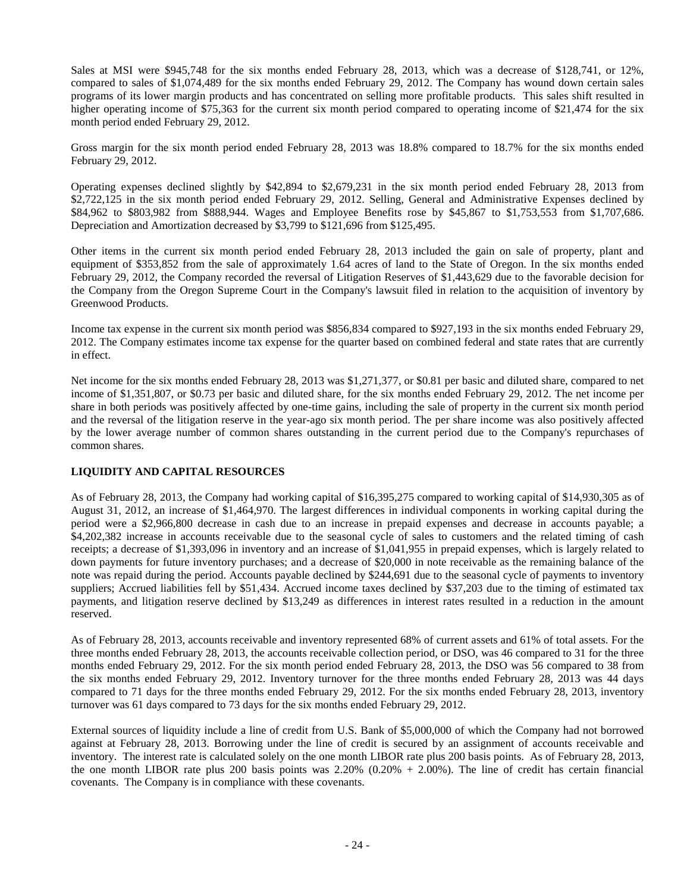Sales at MSI were \$945,748 for the six months ended February 28, 2013, which was a decrease of \$128,741, or 12%, compared to sales of \$1,074,489 for the six months ended February 29, 2012. The Company has wound down certain sales programs of its lower margin products and has concentrated on selling more profitable products. This sales shift resulted in higher operating income of \$75,363 for the current six month period compared to operating income of \$21,474 for the six month period ended February 29, 2012.

Gross margin for the six month period ended February 28, 2013 was 18.8% compared to 18.7% for the six months ended February 29, 2012.

Operating expenses declined slightly by \$42,894 to \$2,679,231 in the six month period ended February 28, 2013 from \$2,722,125 in the six month period ended February 29, 2012. Selling, General and Administrative Expenses declined by \$84,962 to \$803,982 from \$888,944. Wages and Employee Benefits rose by \$45,867 to \$1,753,553 from \$1,707,686. Depreciation and Amortization decreased by \$3,799 to \$121,696 from \$125,495.

Other items in the current six month period ended February 28, 2013 included the gain on sale of property, plant and equipment of \$353,852 from the sale of approximately 1.64 acres of land to the State of Oregon. In the six months ended February 29, 2012, the Company recorded the reversal of Litigation Reserves of \$1,443,629 due to the favorable decision for the Company from the Oregon Supreme Court in the Company's lawsuit filed in relation to the acquisition of inventory by Greenwood Products.

Income tax expense in the current six month period was \$856,834 compared to \$927,193 in the six months ended February 29, 2012. The Company estimates income tax expense for the quarter based on combined federal and state rates that are currently in effect.

Net income for the six months ended February 28, 2013 was \$1,271,377, or \$0.81 per basic and diluted share, compared to net income of \$1,351,807, or \$0.73 per basic and diluted share, for the six months ended February 29, 2012. The net income per share in both periods was positively affected by one-time gains, including the sale of property in the current six month period and the reversal of the litigation reserve in the year-ago six month period. The per share income was also positively affected by the lower average number of common shares outstanding in the current period due to the Company's repurchases of common shares.

# **LIQUIDITY AND CAPITAL RESOURCES**

As of February 28, 2013, the Company had working capital of \$16,395,275 compared to working capital of \$14,930,305 as of August 31, 2012, an increase of \$1,464,970. The largest differences in individual components in working capital during the period were a \$2,966,800 decrease in cash due to an increase in prepaid expenses and decrease in accounts payable; a \$4,202,382 increase in accounts receivable due to the seasonal cycle of sales to customers and the related timing of cash receipts; a decrease of \$1,393,096 in inventory and an increase of \$1,041,955 in prepaid expenses, which is largely related to down payments for future inventory purchases; and a decrease of \$20,000 in note receivable as the remaining balance of the note was repaid during the period. Accounts payable declined by \$244,691 due to the seasonal cycle of payments to inventory suppliers; Accrued liabilities fell by \$51,434. Accrued income taxes declined by \$37,203 due to the timing of estimated tax payments, and litigation reserve declined by \$13,249 as differences in interest rates resulted in a reduction in the amount reserved.

As of February 28, 2013, accounts receivable and inventory represented 68% of current assets and 61% of total assets. For the three months ended February 28, 2013, the accounts receivable collection period, or DSO, was 46 compared to 31 for the three months ended February 29, 2012. For the six month period ended February 28, 2013, the DSO was 56 compared to 38 from the six months ended February 29, 2012. Inventory turnover for the three months ended February 28, 2013 was 44 days compared to 71 days for the three months ended February 29, 2012. For the six months ended February 28, 2013, inventory turnover was 61 days compared to 73 days for the six months ended February 29, 2012.

External sources of liquidity include a line of credit from U.S. Bank of \$5,000,000 of which the Company had not borrowed against at February 28, 2013. Borrowing under the line of credit is secured by an assignment of accounts receivable and inventory. The interest rate is calculated solely on the one month LIBOR rate plus 200 basis points. As of February 28, 2013, the one month LIBOR rate plus 200 basis points was 2.20% (0.20% + 2.00%). The line of credit has certain financial covenants. The Company is in compliance with these covenants.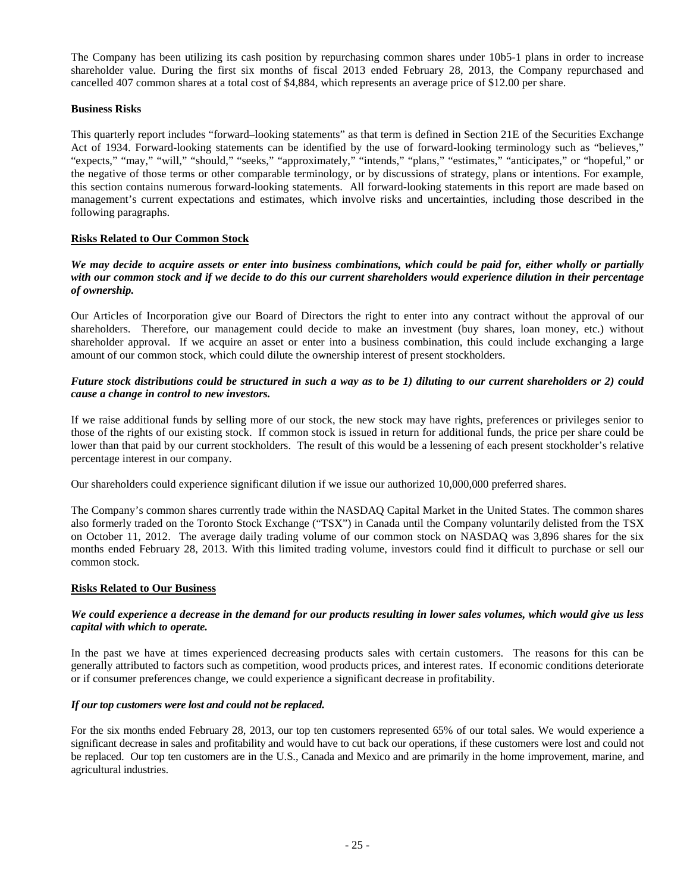The Company has been utilizing its cash position by repurchasing common shares under 10b5-1 plans in order to increase shareholder value. During the first six months of fiscal 2013 ended February 28, 2013, the Company repurchased and cancelled 407 common shares at a total cost of \$4,884, which represents an average price of \$12.00 per share.

# **Business Risks**

This quarterly report includes "forward–looking statements" as that term is defined in Section 21E of the Securities Exchange Act of 1934. Forward-looking statements can be identified by the use of forward-looking terminology such as "believes," "expects," "may," "will," "should," "seeks," "approximately," "intends," "plans," "estimates," "anticipates," or "hopeful," or the negative of those terms or other comparable terminology, or by discussions of strategy, plans or intentions. For example, this section contains numerous forward-looking statements. All forward-looking statements in this report are made based on management's current expectations and estimates, which involve risks and uncertainties, including those described in the following paragraphs.

# **Risks Related to Our Common Stock**

*We may decide to acquire assets or enter into business combinations, which could be paid for, either wholly or partially with our common stock and if we decide to do this our current shareholders would experience dilution in their percentage of ownership.*

Our Articles of Incorporation give our Board of Directors the right to enter into any contract without the approval of our shareholders. Therefore, our management could decide to make an investment (buy shares, loan money, etc.) without shareholder approval. If we acquire an asset or enter into a business combination, this could include exchanging a large amount of our common stock, which could dilute the ownership interest of present stockholders.

# *Future stock distributions could be structured in such a way as to be 1) diluting to our current shareholders or 2) could cause a change in control to new investors.*

If we raise additional funds by selling more of our stock, the new stock may have rights, preferences or privileges senior to those of the rights of our existing stock. If common stock is issued in return for additional funds, the price per share could be lower than that paid by our current stockholders. The result of this would be a lessening of each present stockholder's relative percentage interest in our company.

Our shareholders could experience significant dilution if we issue our authorized 10,000,000 preferred shares.

The Company's common shares currently trade within the NASDAQ Capital Market in the United States. The common shares also formerly traded on the Toronto Stock Exchange ("TSX") in Canada until the Company voluntarily delisted from the TSX on October 11, 2012. The average daily trading volume of our common stock on NASDAQ was 3,896 shares for the six months ended February 28, 2013. With this limited trading volume, investors could find it difficult to purchase or sell our common stock.

# **Risks Related to Our Business**

# *We could experience a decrease in the demand for our products resulting in lower sales volumes, which would give us less capital with which to operate.*

In the past we have at times experienced decreasing products sales with certain customers. The reasons for this can be generally attributed to factors such as competition, wood products prices, and interest rates. If economic conditions deteriorate or if consumer preferences change, we could experience a significant decrease in profitability.

# *If our top customers were lost and could not be replaced.*

For the six months ended February 28, 2013, our top ten customers represented 65% of our total sales. We would experience a significant decrease in sales and profitability and would have to cut back our operations, if these customers were lost and could not be replaced. Our top ten customers are in the U.S., Canada and Mexico and are primarily in the home improvement, marine, and agricultural industries.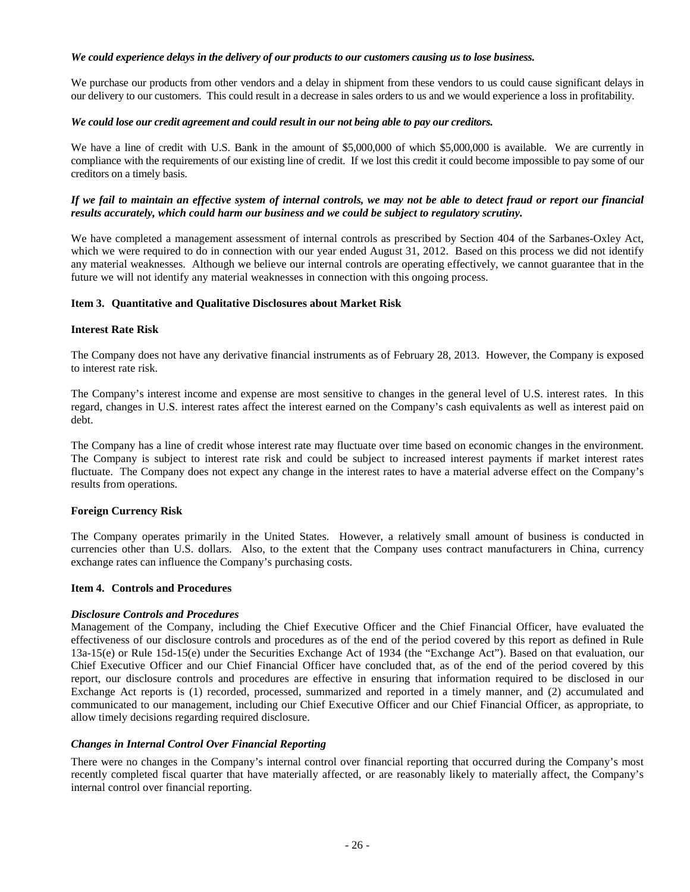### *We could experience delays in the delivery of our products to our customers causing us to lose business.*

We purchase our products from other vendors and a delay in shipment from these vendors to us could cause significant delays in our delivery to our customers. This could result in a decrease in sales orders to us and we would experience a loss in profitability.

# *We could lose our credit agreement and could result in our not being able to pay our creditors.*

We have a line of credit with U.S. Bank in the amount of \$5,000,000 of which \$5,000,000 is available. We are currently in compliance with the requirements of our existing line of credit. If we lost this credit it could become impossible to pay some of our creditors on a timely basis.

# *If we fail to maintain an effective system of internal controls, we may not be able to detect fraud or report our financial results accurately, which could harm our business and we could be subject to regulatory scrutiny.*

We have completed a management assessment of internal controls as prescribed by Section 404 of the Sarbanes-Oxley Act, which we were required to do in connection with our year ended August 31, 2012. Based on this process we did not identify any material weaknesses. Although we believe our internal controls are operating effectively, we cannot guarantee that in the future we will not identify any material weaknesses in connection with this ongoing process.

# **Item 3. Quantitative and Qualitative Disclosures about Market Risk**

# **Interest Rate Risk**

The Company does not have any derivative financial instruments as of February 28, 2013. However, the Company is exposed to interest rate risk.

The Company's interest income and expense are most sensitive to changes in the general level of U.S. interest rates. In this regard, changes in U.S. interest rates affect the interest earned on the Company's cash equivalents as well as interest paid on debt.

The Company has a line of credit whose interest rate may fluctuate over time based on economic changes in the environment. The Company is subject to interest rate risk and could be subject to increased interest payments if market interest rates fluctuate. The Company does not expect any change in the interest rates to have a material adverse effect on the Company's results from operations.

#### **Foreign Currency Risk**

The Company operates primarily in the United States. However, a relatively small amount of business is conducted in currencies other than U.S. dollars. Also, to the extent that the Company uses contract manufacturers in China, currency exchange rates can influence the Company's purchasing costs.

#### **Item 4. Controls and Procedures**

#### *Disclosure Controls and Procedures*

Management of the Company, including the Chief Executive Officer and the Chief Financial Officer, have evaluated the effectiveness of our disclosure controls and procedures as of the end of the period covered by this report as defined in Rule 13a-15(e) or Rule 15d-15(e) under the Securities Exchange Act of 1934 (the "Exchange Act"). Based on that evaluation, our Chief Executive Officer and our Chief Financial Officer have concluded that, as of the end of the period covered by this report, our disclosure controls and procedures are effective in ensuring that information required to be disclosed in our Exchange Act reports is (1) recorded, processed, summarized and reported in a timely manner, and (2) accumulated and communicated to our management, including our Chief Executive Officer and our Chief Financial Officer, as appropriate, to allow timely decisions regarding required disclosure.

## *Changes in Internal Control Over Financial Reporting*

There were no changes in the Company's internal control over financial reporting that occurred during the Company's most recently completed fiscal quarter that have materially affected, or are reasonably likely to materially affect, the Company's internal control over financial reporting.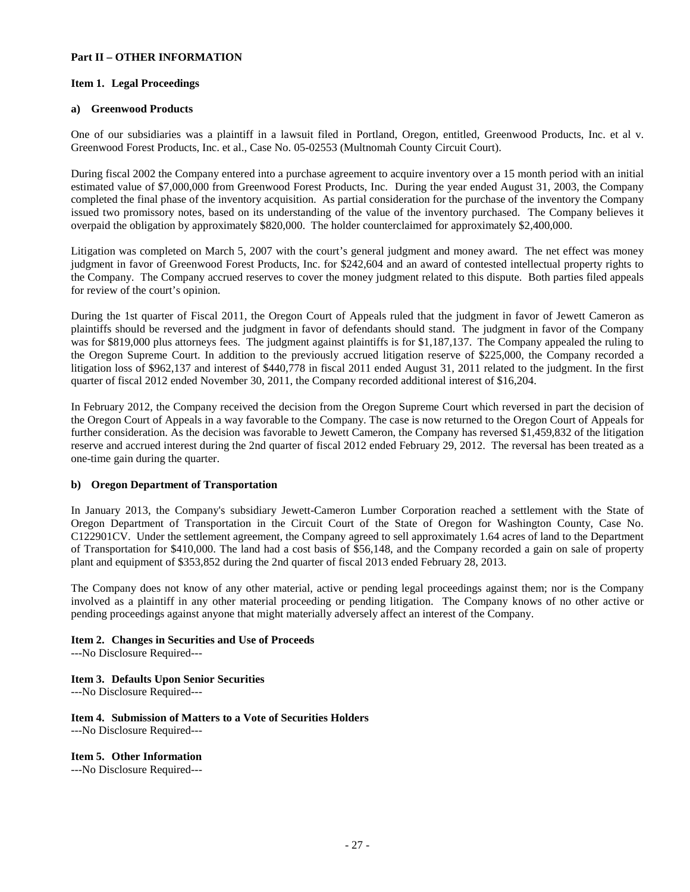#### **Part II – OTHER INFORMATION**

### **Item 1. Legal Proceedings**

# **a) Greenwood Products**

One of our subsidiaries was a plaintiff in a lawsuit filed in Portland, Oregon, entitled, Greenwood Products, Inc. et al v. Greenwood Forest Products, Inc. et al., Case No. 05-02553 (Multnomah County Circuit Court).

During fiscal 2002 the Company entered into a purchase agreement to acquire inventory over a 15 month period with an initial estimated value of \$7,000,000 from Greenwood Forest Products, Inc. During the year ended August 31, 2003, the Company completed the final phase of the inventory acquisition. As partial consideration for the purchase of the inventory the Company issued two promissory notes, based on its understanding of the value of the inventory purchased. The Company believes it overpaid the obligation by approximately \$820,000. The holder counterclaimed for approximately \$2,400,000.

Litigation was completed on March 5, 2007 with the court's general judgment and money award. The net effect was money judgment in favor of Greenwood Forest Products, Inc. for \$242,604 and an award of contested intellectual property rights to the Company. The Company accrued reserves to cover the money judgment related to this dispute. Both parties filed appeals for review of the court's opinion.

During the 1st quarter of Fiscal 2011, the Oregon Court of Appeals ruled that the judgment in favor of Jewett Cameron as plaintiffs should be reversed and the judgment in favor of defendants should stand. The judgment in favor of the Company was for \$819,000 plus attorneys fees. The judgment against plaintiffs is for \$1,187,137. The Company appealed the ruling to the Oregon Supreme Court. In addition to the previously accrued litigation reserve of \$225,000, the Company recorded a litigation loss of \$962,137 and interest of \$440,778 in fiscal 2011 ended August 31, 2011 related to the judgment. In the first quarter of fiscal 2012 ended November 30, 2011, the Company recorded additional interest of \$16,204.

In February 2012, the Company received the decision from the Oregon Supreme Court which reversed in part the decision of the Oregon Court of Appeals in a way favorable to the Company. The case is now returned to the Oregon Court of Appeals for further consideration. As the decision was favorable to Jewett Cameron, the Company has reversed \$1,459,832 of the litigation reserve and accrued interest during the 2nd quarter of fiscal 2012 ended February 29, 2012. The reversal has been treated as a one-time gain during the quarter.

# **b) Oregon Department of Transportation**

In January 2013, the Company's subsidiary Jewett-Cameron Lumber Corporation reached a settlement with the State of Oregon Department of Transportation in the Circuit Court of the State of Oregon for Washington County, Case No. C122901CV. Under the settlement agreement, the Company agreed to sell approximately 1.64 acres of land to the Department of Transportation for \$410,000. The land had a cost basis of \$56,148, and the Company recorded a gain on sale of property plant and equipment of \$353,852 during the 2nd quarter of fiscal 2013 ended February 28, 2013.

The Company does not know of any other material, active or pending legal proceedings against them; nor is the Company involved as a plaintiff in any other material proceeding or pending litigation. The Company knows of no other active or pending proceedings against anyone that might materially adversely affect an interest of the Company.

# **Item 2. Changes in Securities and Use of Proceeds**

---No Disclosure Required---

# **Item 3. Defaults Upon Senior Securities**

---No Disclosure Required---

#### **Item 4. Submission of Matters to a Vote of Securities Holders** ---No Disclosure Required---

**Item 5. Other Information**

---No Disclosure Required---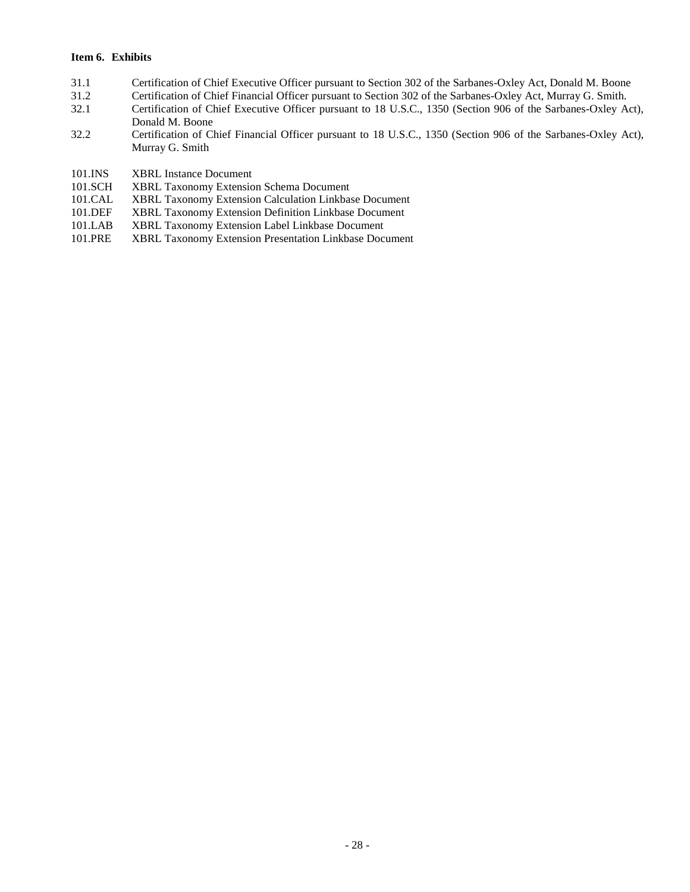# **Item 6. Exhibits**

- 31.1 Certification of Chief Executive Officer pursuant to Section 302 of the Sarbanes-Oxley Act, Donald M. Boone
- 31.2 Certification of Chief Financial Officer pursuant to Section 302 of the Sarbanes-Oxley Act, Murray G. Smith.
- 32.1 Certification of Chief Executive Officer pursuant to 18 U.S.C., 1350 (Section 906 of the Sarbanes-Oxley Act), Donald M. Boone
- 32.2 Certification of Chief Financial Officer pursuant to 18 U.S.C., 1350 (Section 906 of the Sarbanes-Oxley Act), Murray G. Smith
- 101.INS XBRL Instance Document<br>101.SCH XBRL Taxonomy Extensio
- XBRL Taxonomy Extension Schema Document
- 101.CAL XBRL Taxonomy Extension Calculation Linkbase Document<br>101.DEF XBRL Taxonomy Extension Definition Linkbase Document
- 101.DEF XBRL Taxonomy Extension Definition Linkbase Document<br>101.LAB XBRL Taxonomy Extension Label Linkbase Document
- XBRL Taxonomy Extension Label Linkbase Document
- 101.PRE XBRL Taxonomy Extension Presentation Linkbase Document